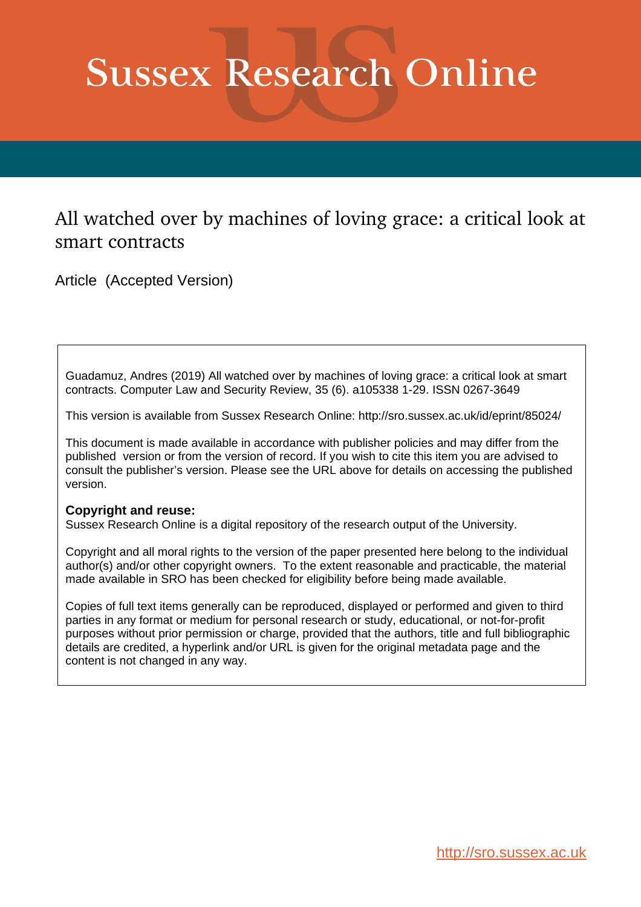# **Sussex Research Online**

## All watched over by machines of loving grace: a critical look at smart contracts

Article (Accepted Version)

Guadamuz, Andres (2019) All watched over by machines of loving grace: a critical look at smart contracts. Computer Law and Security Review, 35 (6). a105338 1-29. ISSN 0267-3649

This version is available from Sussex Research Online: http://sro.sussex.ac.uk/id/eprint/85024/

This document is made available in accordance with publisher policies and may differ from the published version or from the version of record. If you wish to cite this item you are advised to consult the publisher's version. Please see the URL above for details on accessing the published version.

#### **Copyright and reuse:**

Sussex Research Online is a digital repository of the research output of the University.

Copyright and all moral rights to the version of the paper presented here belong to the individual author(s) and/or other copyright owners. To the extent reasonable and practicable, the material made available in SRO has been checked for eligibility before being made available.

Copies of full text items generally can be reproduced, displayed or performed and given to third parties in any format or medium for personal research or study, educational, or not-for-profit purposes without prior permission or charge, provided that the authors, title and full bibliographic details are credited, a hyperlink and/or URL is given for the original metadata page and the content is not changed in any way.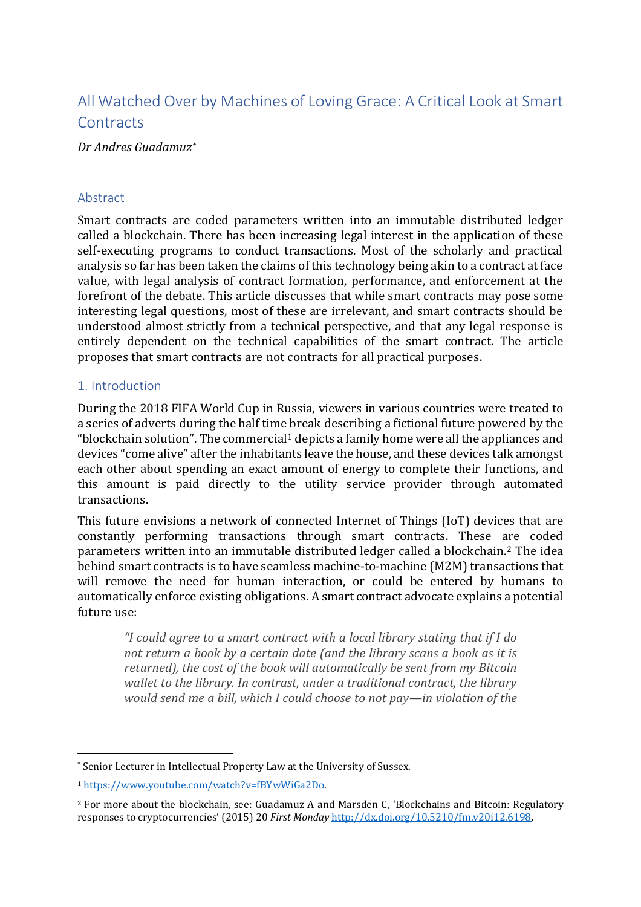### All Watched Over by Machines of Loving Grace: A Critical Look at Smart **Contracts**

#### *Dr Andres Guadamuz\**

#### Abstract

Smart contracts are coded parameters written into an immutable distributed ledger called a blockchain. There has been increasing legal interest in the application of these self-executing programs to conduct transactions. Most of the scholarly and practical analysis so far has been taken the claims of this technology being akin to a contract at face value, with legal analysis of contract formation, performance, and enforcement at the forefront of the debate. This article discusses that while smart contracts may pose some interesting legal questions, most of these are irrelevant, and smart contracts should be understood almost strictly from a technical perspective, and that any legal response is entirely dependent on the technical capabilities of the smart contract. The article proposes that smart contracts are not contracts for all practical purposes.

#### 1. Introduction

 $\overline{\phantom{a}}$ 

During the 2018 FIFA World Cup in Russia, viewers in various countries were treated to a series of adverts during the half time break describing a fictional future powered by the "blockchain solution". The commercial<sup>1</sup> depicts a family home were all the appliances and devices "come alive" after the inhabitants leave the house, and these devices talk amongst each other about spending an exact amount of energy to complete their functions, and this amount is paid directly to the utility service provider through automated transactions.

This future envisions a network of connected Internet of Things (IoT) devices that are constantly performing transactions through smart contracts. These are coded parameters written into an immutable distributed ledger called a blockchain.<sup>2</sup> The idea behind smart contracts is to have seamless machine-to-machine (M2M) transactions that will remove the need for human interaction, or could be entered by humans to automatically enforce existing obligations. A smart contract advocate explains a potential future use:

*"I could agree to a smart contract with a local library stating that if I do not return a book by a certain date (and the library scans a book as it is returned), the cost of the book will automatically be sent from my Bitcoin wallet to the library. In contrast, under a traditional contract, the library would send me a bill, which I could choose to not pay—in violation of the* 

<sup>\*</sup> Senior Lecturer in Intellectual Property Law at the University of Sussex.

<sup>1</sup> [https://www.youtube.com/watch?v=fBYwWiGa2Do.](https://www.youtube.com/watch?v=fBYwWiGa2Do)

<sup>2</sup> For more about the blockchain, see: Guadamuz A and Marsden C, 'Blockchains and Bitcoin: Regulatory responses to cryptocurrencies' (2015) 20 *First Monday* [http://dx.doi.org/10.5210/fm.v20i12.6198.](http://dx.doi.org/10.5210/fm.v20i12.6198)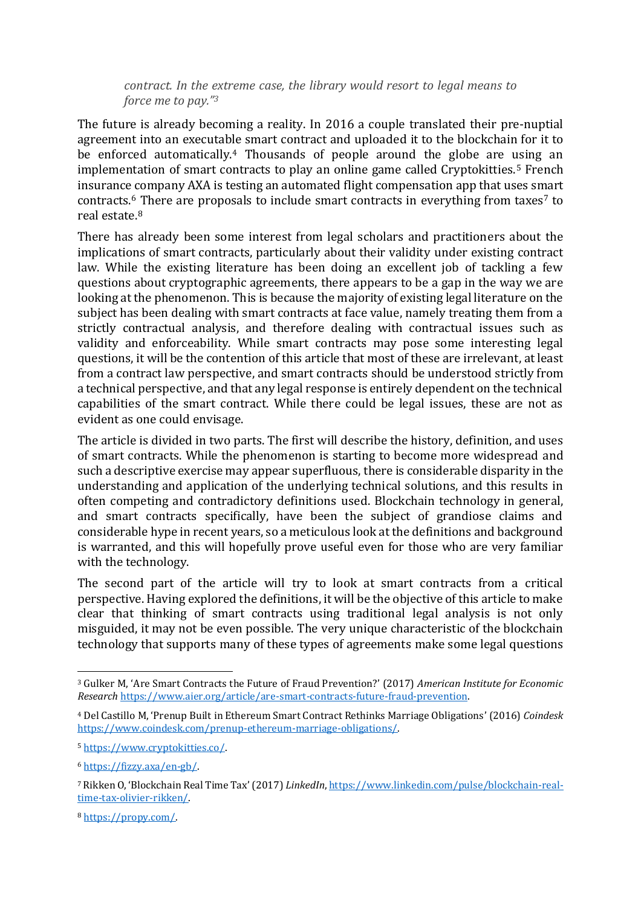*contract. In the extreme case, the library would resort to legal means to force me to pay." 3*

The future is already becoming a reality. In 2016 a couple translated their pre-nuptial agreement into an executable smart contract and uploaded it to the blockchain for it to be enforced automatically.<sup>4</sup> Thousands of people around the globe are using an implementation of smart contracts to play an online game called Cryptokitties.<sup>5</sup> French insurance company AXA is testing an automated flight compensation app that uses smart contracts.<sup>6</sup> There are proposals to include smart contracts in everything from taxes<sup>7</sup> to real estate.<sup>8</sup>

There has already been some interest from legal scholars and practitioners about the implications of smart contracts, particularly about their validity under existing contract law. While the existing literature has been doing an excellent job of tackling a few questions about cryptographic agreements, there appears to be a gap in the way we are looking at the phenomenon. This is because the majority of existing legal literature on the subject has been dealing with smart contracts at face value, namely treating them from a strictly contractual analysis, and therefore dealing with contractual issues such as validity and enforceability. While smart contracts may pose some interesting legal questions, it will be the contention of this article that most of these are irrelevant, at least from a contract law perspective, and smart contracts should be understood strictly from a technical perspective, and that any legal response is entirely dependent on the technical capabilities of the smart contract. While there could be legal issues, these are not as evident as one could envisage.

The article is divided in two parts. The first will describe the history, definition, and uses of smart contracts. While the phenomenon is starting to become more widespread and such a descriptive exercise may appear superfluous, there is considerable disparity in the understanding and application of the underlying technical solutions, and this results in often competing and contradictory definitions used. Blockchain technology in general, and smart contracts specifically, have been the subject of grandiose claims and considerable hype in recent years, so a meticulous look at the definitions and background is warranted, and this will hopefully prove useful even for those who are very familiar with the technology.

The second part of the article will try to look at smart contracts from a critical perspective. Having explored the definitions, it will be the objective of this article to make clear that thinking of smart contracts using traditional legal analysis is not only misguided, it may not be even possible. The very unique characteristic of the blockchain technology that supports many of these types of agreements make some legal questions

 $\overline{\phantom{a}}$ 

<sup>8</sup> [https://propy.com/.](https://propy.com/)

<sup>3</sup> Gulker M, 'Are Smart Contracts the Future of Fraud Prevention?' (2017) *American Institute for Economic Research* [https://www.aier.org/article/are-smart-contracts-future-fraud-prevention.](https://www.aier.org/article/are-smart-contracts-future-fraud-prevention)

<sup>4</sup> Del Castillo M, 'Prenup Built in Ethereum Smart Contract Rethinks Marriage Obligations' (2016) *Coindesk* [https://www.coindesk.com/prenup-ethereum-marriage-obligations/.](https://www.coindesk.com/prenup-ethereum-marriage-obligations/)

<sup>5</sup> [https://www.cryptokitties.co/.](https://www.cryptokitties.co/)

<sup>6</sup> [https://fizzy.axa/en-gb/.](https://fizzy.axa/en-gb/)

<sup>7</sup> Rikken O, 'Blockchain Real Time Tax' (2017) *LinkedIn*, [https://www.linkedin.com/pulse/blockchain-real](https://www.linkedin.com/pulse/blockchain-real-time-tax-olivier-rikken/)[time-tax-olivier-rikken/.](https://www.linkedin.com/pulse/blockchain-real-time-tax-olivier-rikken/)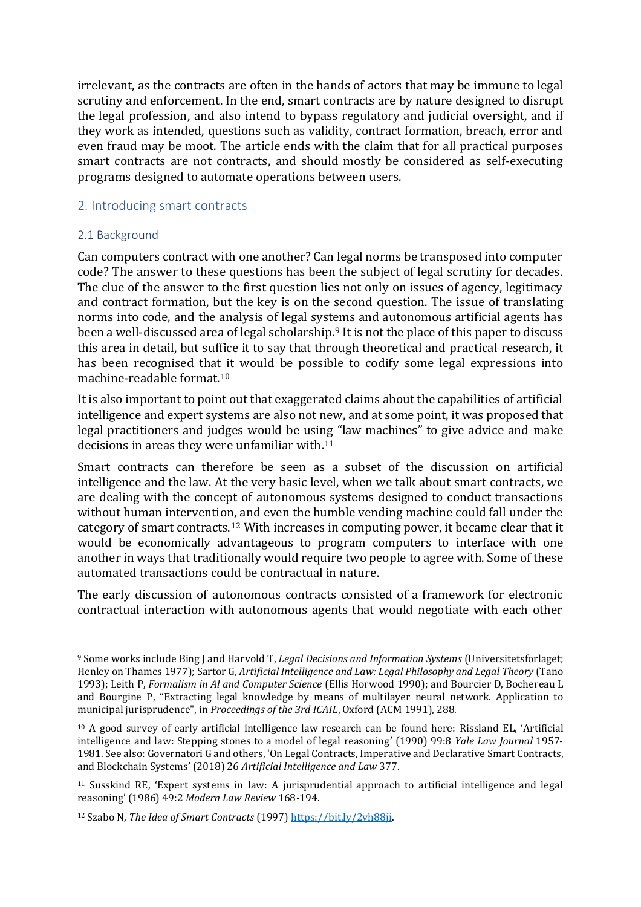irrelevant, as the contracts are often in the hands of actors that may be immune to legal scrutiny and enforcement. In the end, smart contracts are by nature designed to disrupt the legal profession, and also intend to bypass regulatory and judicial oversight, and if they work as intended, questions such as validity, contract formation, breach, error and even fraud may be moot. The article ends with the claim that for all practical purposes smart contracts are not contracts, and should mostly be considered as self-executing programs designed to automate operations between users.

#### 2. Introducing smart contracts

#### 2.1 Background

 $\overline{\phantom{a}}$ 

Can computers contract with one another? Can legal norms be transposed into computer code? The answer to these questions has been the subject of legal scrutiny for decades. The clue of the answer to the first question lies not only on issues of agency, legitimacy and contract formation, but the key is on the second question. The issue of translating norms into code, and the analysis of legal systems and autonomous artificial agents has been a well-discussed area of legal scholarship.<sup>9</sup> It is not the place of this paper to discuss this area in detail, but suffice it to say that through theoretical and practical research, it has been recognised that it would be possible to codify some legal expressions into machine-readable format.<sup>10</sup>

It is also important to point out that exaggerated claims about the capabilities of artificial intelligence and expert systems are also not new, and at some point, it was proposed that legal practitioners and judges would be using "law machines" to give advice and make decisions in areas they were unfamiliar with.<sup>11</sup>

Smart contracts can therefore be seen as a subset of the discussion on artificial intelligence and the law. At the very basic level, when we talk about smart contracts, we are dealing with the concept of autonomous systems designed to conduct transactions without human intervention, and even the humble vending machine could fall under the category of smart contracts.<sup>12</sup> With increases in computing power, it became clear that it would be economically advantageous to program computers to interface with one another in ways that traditionally would require two people to agree with. Some of these automated transactions could be contractual in nature.

The early discussion of autonomous contracts consisted of a framework for electronic contractual interaction with autonomous agents that would negotiate with each other

<sup>9</sup> Some works include Bing J and Harvold T, *Legal Decisions and Information Systems* (Universitetsforlaget; Henley on Thames 1977); Sartor G, *Artificial Intelligence and Law: Legal Philosophy and Legal Theory* (Tano 1993); Leith P, *Formalism in Al and Computer Science* (Ellis Horwood 1990); and Bourcier D, Bochereau L and Bourgine P, "Extracting legal knowledge by means of multilayer neural network. Application to municipal jurisprudence", in *Proceedings of the 3rd ICAIL*, Oxford (ACM 1991), 288.

<sup>10</sup> A good survey of early artificial intelligence law research can be found here: Rissland EL, 'Artificial intelligence and law: Stepping stones to a model of legal reasoning' (1990) 99:8 *Yale Law Journal* 1957- 1981. See also: Governatori G and others, 'On Legal Contracts, Imperative and Declarative Smart Contracts, and Blockchain Systems' (2018) 26 *Artificial Intelligence and Law* 377.

<sup>11</sup> Susskind RE, 'Expert systems in law: A jurisprudential approach to artificial intelligence and legal reasoning' (1986) 49:2 *Modern Law Review* 168-194.

<sup>12</sup> Szabo N, *The Idea of Smart Contracts* (1997) [https://bit.ly/2vh88ji.](https://bit.ly/2vh88ji)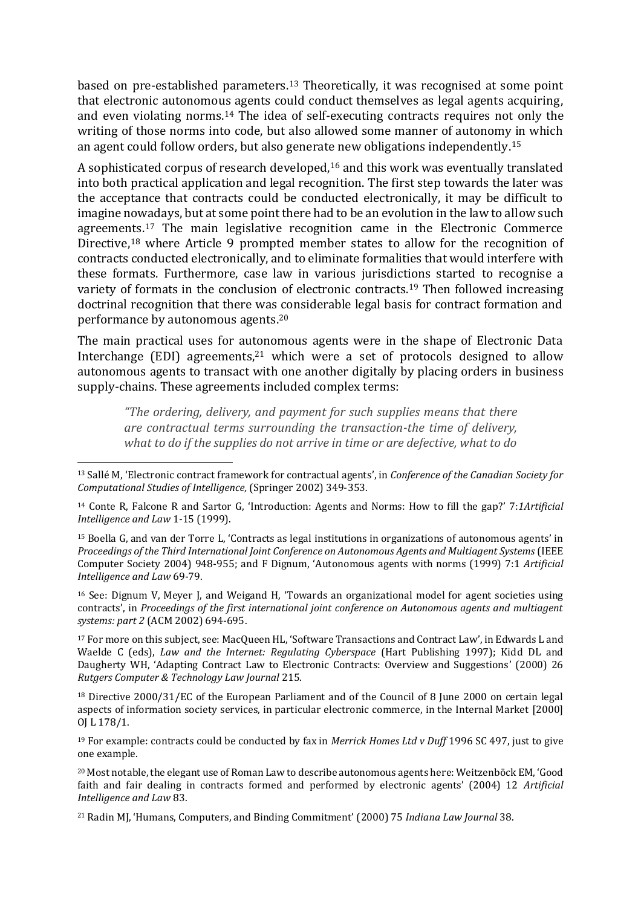based on pre-established parameters.<sup>13</sup> Theoretically, it was recognised at some point that electronic autonomous agents could conduct themselves as legal agents acquiring, and even violating norms.<sup>14</sup> The idea of self-executing contracts requires not only the writing of those norms into code, but also allowed some manner of autonomy in which an agent could follow orders, but also generate new obligations independently. 15

A sophisticated corpus of research developed,<sup>16</sup> and this work was eventually translated into both practical application and legal recognition. The first step towards the later was the acceptance that contracts could be conducted electronically, it may be difficult to imagine nowadays, but at some point there had to be an evolution in the law to allow such agreements. <sup>17</sup> The main legislative recognition came in the Electronic Commerce Directive,<sup>18</sup> where Article 9 prompted member states to allow for the recognition of contracts conducted electronically, and to eliminate formalities that would interfere with these formats. Furthermore, case law in various jurisdictions started to recognise a variety of formats in the conclusion of electronic contracts.<sup>19</sup> Then followed increasing doctrinal recognition that there was considerable legal basis for contract formation and performance by autonomous agents. 20

The main practical uses for autonomous agents were in the shape of Electronic Data Interchange (EDI) agreements, $21$  which were a set of protocols designed to allow autonomous agents to transact with one another digitally by placing orders in business supply-chains. These agreements included complex terms:

*"The ordering, delivery, and payment for such supplies means that there are contractual terms surrounding the transaction-the time of delivery, what to do if the supplies do not arrive in time or are defective, what to do* 

 $\overline{\phantom{a}}$ 

<sup>16</sup> See: Dignum V, Meyer J, and Weigand H, 'Towards an organizational model for agent societies using contracts', in *Proceedings of the first international joint conference on Autonomous agents and multiagent systems: part 2* (ACM 2002) 694-695.

<sup>17</sup> For more on this subject, see: MacQueen HL, 'Software Transactions and Contract Law', in Edwards L and Waelde C (eds), *Law and the Internet: Regulating Cyberspace* (Hart Publishing 1997); Kidd DL and Daugherty WH, 'Adapting Contract Law to Electronic Contracts: Overview and Suggestions' (2000) 26 *Rutgers Computer & Technology Law Journal* 215.

<sup>18</sup> Directive 2000/31/EC of the European Parliament and of the Council of 8 June 2000 on certain legal aspects of information society services, in particular electronic commerce, in the Internal Market [2000] OJ L 178/1.

<sup>19</sup> For example: contracts could be conducted by fax in *Merrick Homes Ltd v Duff* 1996 SC 497, just to give one example.

<sup>20</sup> Most notable, the elegant use of Roman Law to describe autonomous agents here: Weitzenböck EM, 'Good faith and fair dealing in contracts formed and performed by electronic agents' (2004) 12 *Artificial Intelligence and Law* 83.

<sup>21</sup> Radin MJ, 'Humans, Computers, and Binding Commitment' (2000) 75 *Indiana Law Journal* 38.

<sup>13</sup> Sallé M, 'Electronic contract framework for contractual agents', in *Conference of the Canadian Society for Computational Studies of Intelligence,* (Springer 2002) 349-353.

<sup>14</sup> Conte R, Falcone R and Sartor G, 'Introduction: Agents and Norms: How to fill the gap?' 7:*1Artificial Intelligence and Law* 1-15 (1999).

<sup>15</sup> Boella G, and van der Torre L, 'Contracts as legal institutions in organizations of autonomous agents' in *Proceedings of the Third International Joint Conference on Autonomous Agents and Multiagent Systems* (IEEE Computer Society 2004) 948-955; and F Dignum, 'Autonomous agents with norms (1999) 7:1 *Artificial Intelligence and Law* 69-79.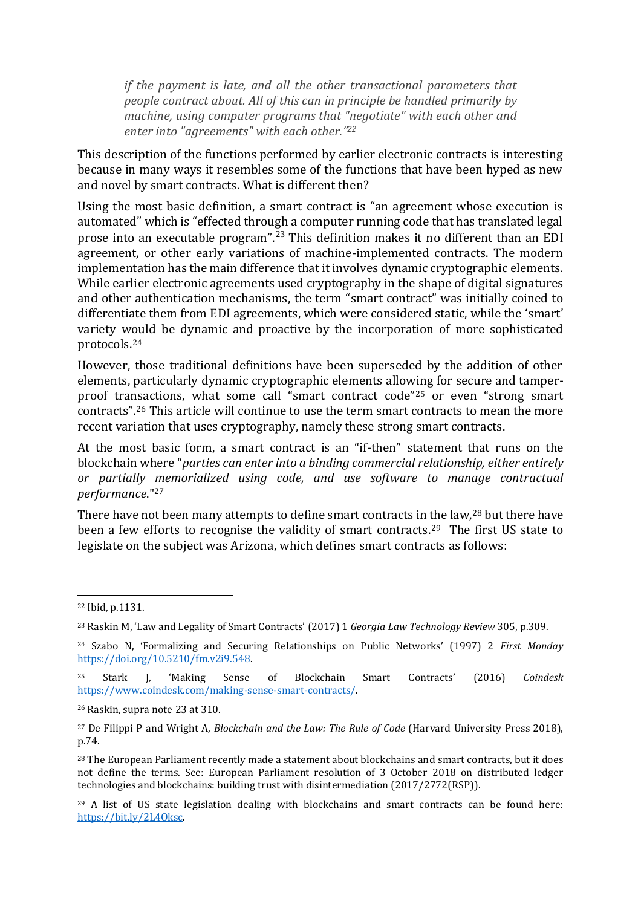*if the payment is late, and all the other transactional parameters that people contract about. All of this can in principle be handled primarily by machine, using computer programs that "negotiate" with each other and enter into "agreements" with each other." 22*

This description of the functions performed by earlier electronic contracts is interesting because in many ways it resembles some of the functions that have been hyped as new and novel by smart contracts. What is different then?

<span id="page-5-0"></span>Using the most basic definition, a smart contract is "an agreement whose execution is automated" which is "effected through a computer running code that has translated legal prose into an executable program".<sup>23</sup> This definition makes it no different than an EDI agreement, or other early variations of machine-implemented contracts. The modern implementation has the main difference that it involves dynamic cryptographic elements. While earlier electronic agreements used cryptography in the shape of digital signatures and other authentication mechanisms, the term "smart contract" was initially coined to differentiate them from EDI agreements, which were considered static, while the 'smart' variety would be dynamic and proactive by the incorporation of more sophisticated protocols.<sup>24</sup>

However, those traditional definitions have been superseded by the addition of other elements, particularly dynamic cryptographic elements allowing for secure and tamperproof transactions, what some call "smart contract code"<sup>25</sup> or even "strong smart contracts". <sup>26</sup> This article will continue to use the term smart contracts to mean the more recent variation that uses cryptography, namely these strong smart contracts.

At the most basic form, a smart contract is an "if-then" statement that runs on the blockchain where "*parties can enter into a binding commercial relationship, either entirely or partially memorialized using code, and use software to manage contractual performance*."<sup>27</sup>

<span id="page-5-1"></span>There have not been many attempts to define smart contracts in the law,<sup>28</sup> but there have been a few efforts to recognise the validity of smart contracts.<sup>29</sup> The first US state to legislate on the subject was Arizona, which defines smart contracts as follows:

l

<sup>22</sup> Ibid, p.1131.

<sup>23</sup> Raskin M, 'Law and Legality of Smart Contracts' (2017) 1 *Georgia Law Technology Review* 305, p.309.

<sup>24</sup> Szabo N, 'Formalizing and Securing Relationships on Public Networks' (1997) 2 *First Monday* [https://doi.org/10.5210/fm.v2i9.548.](https://doi.org/10.5210/fm.v2i9.548)

<sup>25</sup> Stark J, 'Making Sense of Blockchain Smart Contracts' (2016) *Coindesk* [https://www.coindesk.com/making-sense-smart-contracts/.](https://www.coindesk.com/making-sense-smart-contracts/)

<sup>26</sup> Raskin, supra not[e 23](#page-5-0) at 310.

<sup>27</sup> De Filippi P and Wright A, *Blockchain and the Law: The Rule of Code* (Harvard University Press 2018), p.74.

<sup>&</sup>lt;sup>28</sup> The European Parliament recently made a statement about blockchains and smart contracts, but it does not define the terms. See: European Parliament resolution of 3 October 2018 on distributed ledger technologies and blockchains: building trust with disintermediation (2017/2772(RSP)).

<sup>&</sup>lt;sup>29</sup> A list of US state legislation dealing with blockchains and smart contracts can be found here: [https://bit.ly/2L4Oksc.](https://bit.ly/2L4Oksc)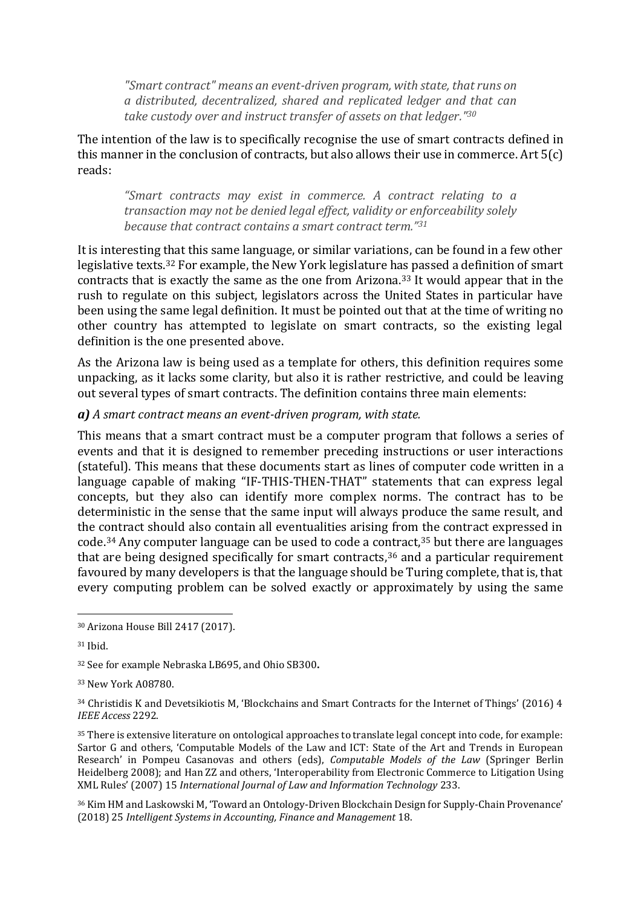*"Smart contract" means an event-driven program, with state, that runs on a distributed, decentralized, shared and replicated ledger and that can take custody over and instruct transfer of assets on that ledger."<sup>30</sup>*

The intention of the law is to specifically recognise the use of smart contracts defined in this manner in the conclusion of contracts, but also allows their use in commerce. Art 5(c) reads:

*"Smart contracts may exist in commerce. A contract relating to a transaction may not be denied legal effect, validity or enforceability solely because that contract contains a smart contract term."<sup>31</sup>*

It is interesting that this same language, or similar variations, can be found in a few other legislative texts.<sup>32</sup> For example, the New York legislature has passed a definition of smart contracts that is exactly the same as the one from Arizona.<sup>33</sup> It would appear that in the rush to regulate on this subject, legislators across the United States in particular have been using the same legal definition. It must be pointed out that at the time of writing no other country has attempted to legislate on smart contracts, so the existing legal definition is the one presented above.

As the Arizona law is being used as a template for others, this definition requires some unpacking, as it lacks some clarity, but also it is rather restrictive, and could be leaving out several types of smart contracts. The definition contains three main elements:

#### *a) A smart contract means an event-driven program, with state.*

This means that a smart contract must be a computer program that follows a series of events and that it is designed to remember preceding instructions or user interactions (stateful). This means that these documents start as lines of computer code written in a language capable of making "IF-THIS-THEN-THAT" statements that can express legal concepts, but they also can identify more complex norms. The contract has to be deterministic in the sense that the same input will always produce the same result, and the contract should also contain all eventualities arising from the contract expressed in code.<sup>34</sup> Any computer language can be used to code a contract, <sup>35</sup> but there are languages that are being designed specifically for smart contracts, <sup>36</sup> and a particular requirement favoured by many developers is that the language should be Turing complete, that is, that every computing problem can be solved exactly or approximately by using the same

<sup>31</sup> Ibid.

<sup>36</sup> Kim HM and Laskowski M, 'Toward an Ontology-Driven Blockchain Design for Supply-Chain Provenance' (2018) 25 *Intelligent Systems in Accounting, Finance and Management* 18.

<span id="page-6-0"></span> $\overline{\phantom{a}}$ <sup>30</sup> Arizona House Bill 2417 (2017).

<sup>32</sup> See for example Nebraska LB695, and Ohio SB300**.** 

<sup>33</sup> New York A08780.

<sup>34</sup> Christidis K and Devetsikiotis M, 'Blockchains and Smart Contracts for the Internet of Things' (2016) 4 *IEEE Access* 2292.

<sup>35</sup> There is extensive literature on ontological approaches to translate legal concept into code, for example: Sartor G and others, 'Computable Models of the Law and ICT: State of the Art and Trends in European Research' in Pompeu Casanovas and others (eds), *Computable Models of the Law* (Springer Berlin Heidelberg 2008); and Han ZZ and others, 'Interoperability from Electronic Commerce to Litigation Using XML Rules' (2007) 15 *International Journal of Law and Information Technology* 233.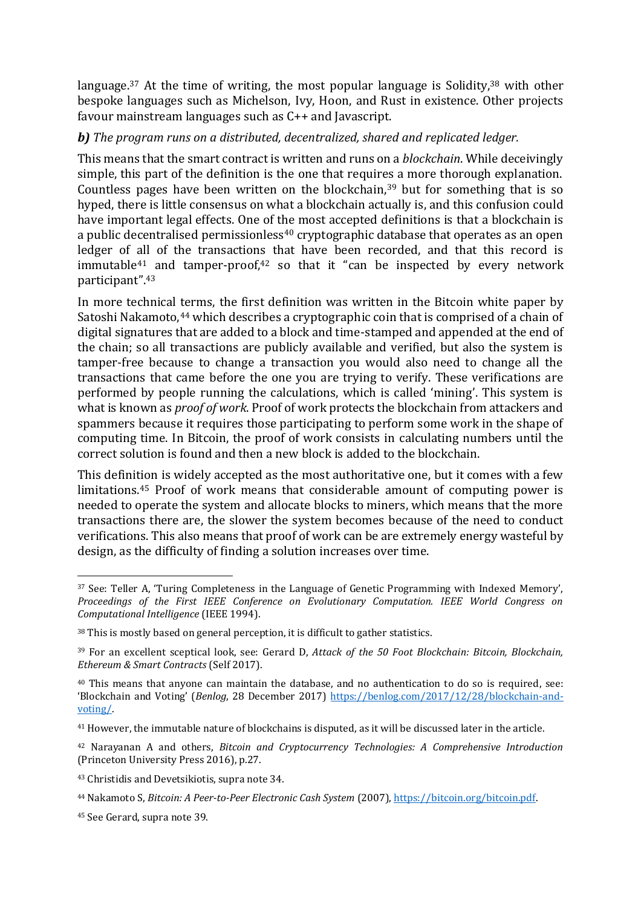language.<sup>37</sup> At the time of writing, the most popular language is Solidity,<sup>38</sup> with other bespoke languages such as Michelson, Ivy, Hoon, and Rust in existence. Other projects favour mainstream languages such as C++ and Javascript.

#### *b) The program runs on a distributed, decentralized, shared and replicated ledger.*

<span id="page-7-0"></span>This means that the smart contract is written and runs on a *blockchain*. While deceivingly simple, this part of the definition is the one that requires a more thorough explanation. Countless pages have been written on the blockchain, <sup>39</sup> but for something that is so hyped, there is little consensus on what a blockchain actually is, and this confusion could have important legal effects. One of the most accepted definitions is that a blockchain is a public decentralised permissionless<sup>40</sup> cryptographic database that operates as an open ledger of all of the transactions that have been recorded, and that this record is immutable<sup>41</sup> and tamper-proof, <sup>42</sup> so that it "can be inspected by every network participant".<sup>43</sup>

<span id="page-7-1"></span>In more technical terms, the first definition was written in the Bitcoin white paper by Satoshi Nakamoto,<sup>44</sup> which describes a cryptographic coin that is comprised of a chain of digital signatures that are added to a block and time-stamped and appended at the end of the chain; so all transactions are publicly available and verified, but also the system is tamper-free because to change a transaction you would also need to change all the transactions that came before the one you are trying to verify. These verifications are performed by people running the calculations, which is called 'mining'. This system is what is known as *proof of work*. Proof of work protects the blockchain from attackers and spammers because it requires those participating to perform some work in the shape of computing time. In Bitcoin, the proof of work consists in calculating numbers until the correct solution is found and then a new block is added to the blockchain.

This definition is widely accepted as the most authoritative one, but it comes with a few limitations.<sup>45</sup> Proof of work means that considerable amount of computing power is needed to operate the system and allocate blocks to miners, which means that the more transactions there are, the slower the system becomes because of the need to conduct verifications. This also means that proof of work can be are extremely energy wasteful by design, as the difficulty of finding a solution increases over time.

 $\overline{\phantom{a}}$ 

<sup>37</sup> See: Teller A, 'Turing Completeness in the Language of Genetic Programming with Indexed Memory', *Proceedings of the First IEEE Conference on Evolutionary Computation. IEEE World Congress on Computational Intelligence* (IEEE 1994).

<sup>38</sup> This is mostly based on general perception, it is difficult to gather statistics.

<sup>39</sup> For an excellent sceptical look, see: Gerard D, *Attack of the 50 Foot Blockchain: Bitcoin, Blockchain, Ethereum & Smart Contracts* (Self 2017).

<sup>40</sup> This means that anyone can maintain the database, and no authentication to do so is required, see: 'Blockchain and Voting' (*Benlog*, 28 December 2017) [https://benlog.com/2017/12/28/blockchain-and](https://benlog.com/2017/12/28/blockchain-and-voting/)[voting/.](https://benlog.com/2017/12/28/blockchain-and-voting/)

<sup>41</sup> However, the immutable nature of blockchains is disputed, as it will be discussed later in the article.

<sup>42</sup> Narayanan A and others, *Bitcoin and Cryptocurrency Technologies: A Comprehensive Introduction* (Princeton University Press 2016), p.27.

<sup>43</sup> Christidis and Devetsikiotis, supra note [34.](#page-6-0) 

<sup>44</sup> Nakamoto S, *Bitcoin: A Peer-to-Peer Electronic Cash System* (2007), [https://bitcoin.org/bitcoin.pdf.](https://bitcoin.org/bitcoin.pdf) 

<sup>45</sup> See Gerard, supra note [39.](#page-7-0)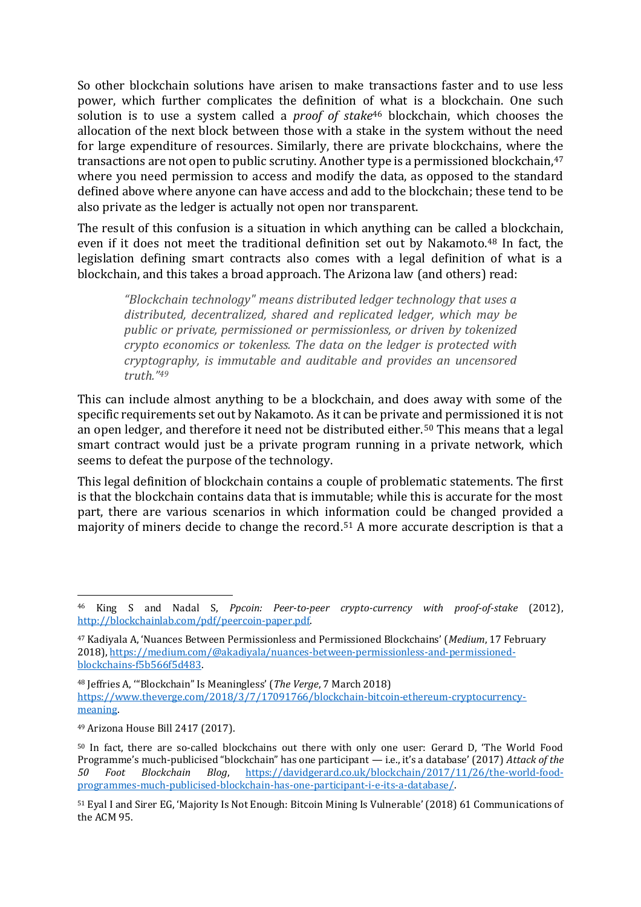So other blockchain solutions have arisen to make transactions faster and to use less power, which further complicates the definition of what is a blockchain. One such solution is to use a system called a *proof of stake*<sup>46</sup> blockchain, which chooses the allocation of the next block between those with a stake in the system without the need for large expenditure of resources. Similarly, there are private blockchains, where the transactions are not open to public scrutiny. Another type is a permissioned blockchain, <sup>47</sup> where you need permission to access and modify the data, as opposed to the standard defined above where anyone can have access and add to the blockchain; these tend to be also private as the ledger is actually not open nor transparent.

The result of this confusion is a situation in which anything can be called a blockchain, even if it does not meet the traditional definition set out by Nakamoto.<sup>48</sup> In fact, the legislation defining smart contracts also comes with a legal definition of what is a blockchain, and this takes a broad approach. The Arizona law (and others) read:

*"Blockchain technology" means distributed ledger technology that uses a distributed, decentralized, shared and replicated ledger, which may be public or private, permissioned or permissionless, or driven by tokenized crypto economics or tokenless. The data on the ledger is protected with cryptography, is immutable and auditable and provides an uncensored truth."<sup>49</sup>*

This can include almost anything to be a blockchain, and does away with some of the specific requirements set out by Nakamoto. As it can be private and permissioned it is not an open ledger, and therefore it need not be distributed either.<sup>50</sup> This means that a legal smart contract would just be a private program running in a private network, which seems to defeat the purpose of the technology.

This legal definition of blockchain contains a couple of problematic statements. The first is that the blockchain contains data that is immutable; while this is accurate for the most part, there are various scenarios in which information could be changed provided a majority of miners decide to change the record. <sup>51</sup> A more accurate description is that a

 $\overline{\phantom{a}}$ 

<sup>46</sup> King S and Nadal S, *Ppcoin: Peer-to-peer crypto-currency with proof-of-stake* (2012), [http://blockchainlab.com/pdf/peercoin-paper.pdf.](http://blockchainlab.com/pdf/peercoin-paper.pdf) 

<sup>47</sup> Kadiyala A, 'Nuances Between Permissionless and Permissioned Blockchains' (*Medium*, 17 February 2018), [https://medium.com/@akadiyala/nuances-between-permissionless-and-permissioned](https://medium.com/@akadiyala/nuances-between-permissionless-and-permissioned-blockchains-f5b566f5d483)[blockchains-f5b566f5d483.](https://medium.com/@akadiyala/nuances-between-permissionless-and-permissioned-blockchains-f5b566f5d483) 

<sup>48</sup> Jeffries A, '"Blockchain" Is Meaningless' (*The Verge*, 7 March 2018) [https://www.theverge.com/2018/3/7/17091766/blockchain-bitcoin-ethereum-cryptocurrency](https://www.theverge.com/2018/3/7/17091766/blockchain-bitcoin-ethereum-cryptocurrency-meaning)[meaning.](https://www.theverge.com/2018/3/7/17091766/blockchain-bitcoin-ethereum-cryptocurrency-meaning)

<sup>49</sup> Arizona House Bill 2417 (2017).

<sup>50</sup> In fact, there are so-called blockchains out there with only one user: Gerard D, 'The World Food Programme's much-publicised "blockchain" has one participant — i.e., it's a database' (2017) *Attack of the 50 Foot Blockchain Blog*, [https://davidgerard.co.uk/blockchain/2017/11/26/the-world-food](https://davidgerard.co.uk/blockchain/2017/11/26/the-world-food-programmes-much-publicised-blockchain-has-one-participant-i-e-its-a-database/)[programmes-much-publicised-blockchain-has-one-participant-i-e-its-a-database/.](https://davidgerard.co.uk/blockchain/2017/11/26/the-world-food-programmes-much-publicised-blockchain-has-one-participant-i-e-its-a-database/) 

<sup>51</sup> Eyal I and Sirer EG, 'Majority Is Not Enough: Bitcoin Mining Is Vulnerable' (2018) 61 Communications of the ACM 95.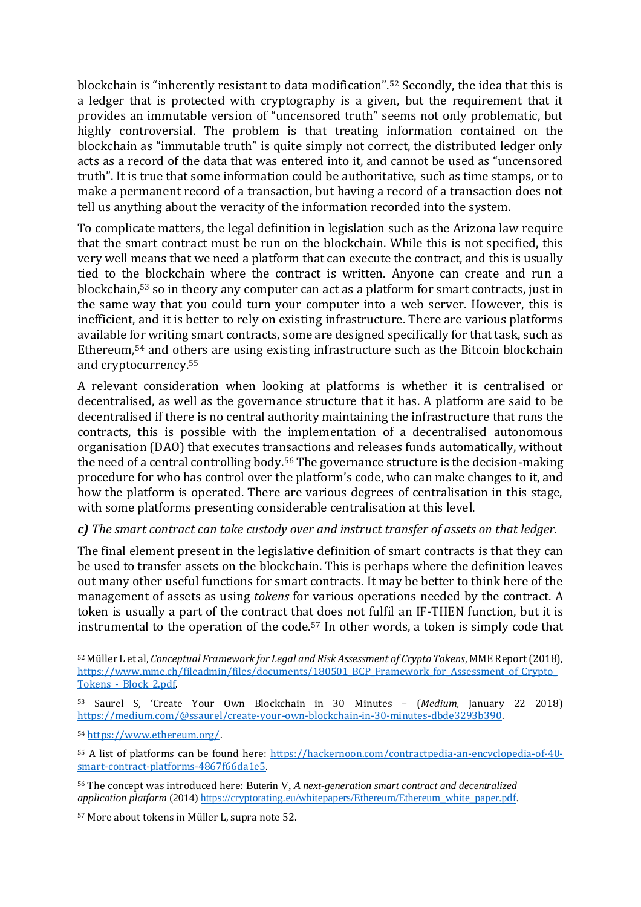<span id="page-9-0"></span>blockchain is "inherently resistant to data modification". <sup>52</sup> Secondly, the idea that this is a ledger that is protected with cryptography is a given, but the requirement that it provides an immutable version of "uncensored truth" seems not only problematic, but highly controversial. The problem is that treating information contained on the blockchain as "immutable truth" is quite simply not correct, the distributed ledger only acts as a record of the data that was entered into it, and cannot be used as "uncensored truth". It is true that some information could be authoritative, such as time stamps, or to make a permanent record of a transaction, but having a record of a transaction does not tell us anything about the veracity of the information recorded into the system.

To complicate matters, the legal definition in legislation such as the Arizona law require that the smart contract must be run on the blockchain. While this is not specified, this very well means that we need a platform that can execute the contract, and this is usually tied to the blockchain where the contract is written. Anyone can create and run a blockchain,<sup>53</sup> so in theory any computer can act as a platform for smart contracts, just in the same way that you could turn your computer into a web server. However, this is inefficient, and it is better to rely on existing infrastructure. There are various platforms available for writing smart contracts, some are designed specifically for that task, such as Ethereum,<sup>54</sup> and others are using existing infrastructure such as the Bitcoin blockchain and cryptocurrency.<sup>55</sup>

A relevant consideration when looking at platforms is whether it is centralised or decentralised, as well as the governance structure that it has. A platform are said to be decentralised if there is no central authority maintaining the infrastructure that runs the contracts, this is possible with the implementation of a decentralised autonomous organisation (DAO) that executes transactions and releases funds automatically, without the need of a central controlling body.<sup>56</sup> The governance structure is the decision-making procedure for who has control over the platform's code, who can make changes to it, and how the platform is operated. There are various degrees of centralisation in this stage, with some platforms presenting considerable centralisation at this level.

#### *c) The smart contract can take custody over and instruct transfer of assets on that ledger.*

The final element present in the legislative definition of smart contracts is that they can be used to transfer assets on the blockchain. This is perhaps where the definition leaves out many other useful functions for smart contracts. It may be better to think here of the management of assets as using *tokens* for various operations needed by the contract. A token is usually a part of the contract that does not fulfil an IF-THEN function, but it is instrumental to the operation of the code.<sup>57</sup> In other words, a token is simply code that

<sup>52</sup> Müller L et al, *Conceptual Framework for Legal and Risk Assessment of Crypto Tokens*, MME Report (2018), https://www.mme.ch/fileadmin/files/documents/180501\_BCP\_Framework\_for\_Assessment\_of\_Crypto [Tokens\\_-\\_Block\\_2.pdf.](https://www.mme.ch/fileadmin/files/documents/180501_BCP_Framework_for_Assessment_of_Crypto_Tokens_-_Block_2.pdf)

<sup>53</sup> Saurel S, 'Create Your Own Blockchain in 30 Minutes – (*Medium,* January 22 2018) [https://medium.com/@ssaurel/create-your-own-blockchain-in-30-minutes-dbde3293b390.](https://medium.com/@ssaurel/create-your-own-blockchain-in-30-minutes-dbde3293b390)

<sup>54</sup> [https://www.ethereum.org/.](https://www.ethereum.org/)

<sup>55</sup> A list of platforms can be found here: [https://hackernoon.com/contractpedia-an-encyclopedia-of-40](https://hackernoon.com/contractpedia-an-encyclopedia-of-40-smart-contract-platforms-4867f66da1e5) [smart-contract-platforms-4867f66da1e5.](https://hackernoon.com/contractpedia-an-encyclopedia-of-40-smart-contract-platforms-4867f66da1e5)

<sup>56</sup> The concept was introduced here: Buterin V, *A next-generation smart contract and decentralized application platform* (2014) [https://cryptorating.eu/whitepapers/Ethereum/Ethereum\\_white\\_paper.pdf.](https://cryptorating.eu/whitepapers/Ethereum/Ethereum_white_paper.pdf)

<sup>57</sup> More about tokens in Müller L, supra note [52.](#page-9-0)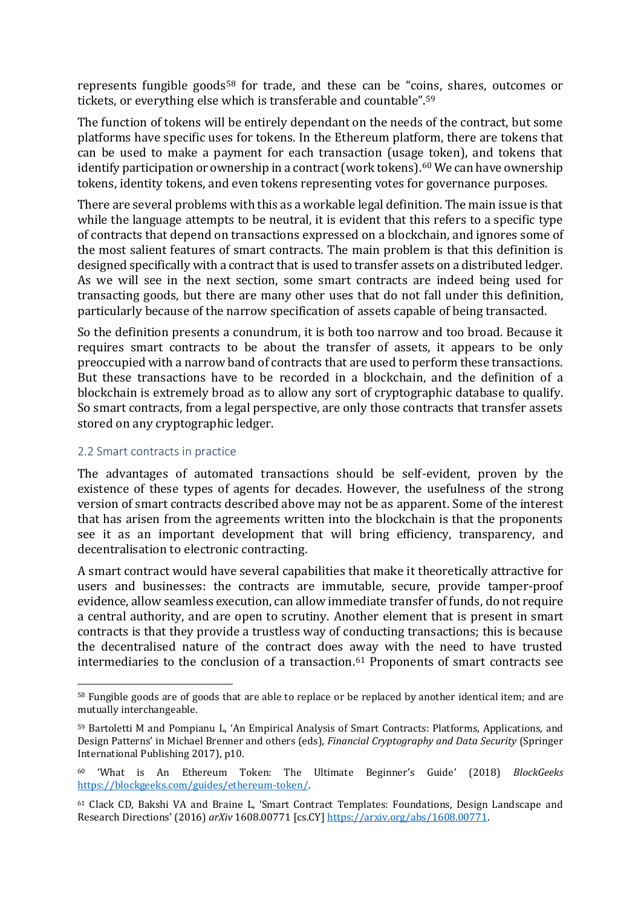represents fungible goods<sup>58</sup> for trade, and these can be "coins, shares, outcomes or tickets, or everything else which is transferable and countable".<sup>59</sup>

The function of tokens will be entirely dependant on the needs of the contract, but some platforms have specific uses for tokens. In the Ethereum platform, there are tokens that can be used to make a payment for each transaction (usage token), and tokens that identify participation or ownership in a contract (work tokens).<sup>60</sup> We can have ownership tokens, identity tokens, and even tokens representing votes for governance purposes.

There are several problems with this as a workable legal definition. The main issue is that while the language attempts to be neutral, it is evident that this refers to a specific type of contracts that depend on transactions expressed on a blockchain, and ignores some of the most salient features of smart contracts. The main problem is that this definition is designed specifically with a contract that is used to transfer assets on a distributed ledger. As we will see in the next section, some smart contracts are indeed being used for transacting goods, but there are many other uses that do not fall under this definition, particularly because of the narrow specification of assets capable of being transacted.

So the definition presents a conundrum, it is both too narrow and too broad. Because it requires smart contracts to be about the transfer of assets, it appears to be only preoccupied with a narrow band of contracts that are used to perform these transactions. But these transactions have to be recorded in a blockchain, and the definition of a blockchain is extremely broad as to allow any sort of cryptographic database to qualify. So smart contracts, from a legal perspective, are only those contracts that transfer assets stored on any cryptographic ledger.

#### 2.2 Smart contracts in practice

 $\overline{a}$ 

The advantages of automated transactions should be self-evident, proven by the existence of these types of agents for decades. However, the usefulness of the strong version of smart contracts described above may not be as apparent. Some of the interest that has arisen from the agreements written into the blockchain is that the proponents see it as an important development that will bring efficiency, transparency, and decentralisation to electronic contracting.

A smart contract would have several capabilities that make it theoretically attractive for users and businesses: the contracts are immutable, secure, provide tamper-proof evidence, allow seamless execution, can allow immediate transfer of funds, do not require a central authority, and are open to scrutiny. Another element that is present in smart contracts is that they provide a trustless way of conducting transactions; this is because the decentralised nature of the contract does away with the need to have trusted intermediaries to the conclusion of a transaction.<sup>61</sup> Proponents of smart contracts see

<sup>58</sup> Fungible goods are of goods that are able to replace or be replaced by another identical item; and are mutually interchangeable.

<sup>59</sup> Bartoletti M and Pompianu L, 'An Empirical Analysis of Smart Contracts: Platforms, Applications, and Design Patterns' in Michael Brenner and others (eds), *Financial Cryptography and Data Security* (Springer International Publishing 2017), p10.

<sup>60</sup> 'What is An Ethereum Token: The Ultimate Beginner's Guide' (2018) *BlockGeeks* [https://blockgeeks.com/guides/ethereum-token/.](https://blockgeeks.com/guides/ethereum-token/)

<sup>61</sup> Clack CD, Bakshi VA and Braine L, 'Smart Contract Templates: Foundations, Design Landscape and Research Directions' (2016) *arXiv* 1608.00771 [cs.CY] [https://arxiv.org/abs/1608.00771.](https://arxiv.org/abs/1608.00771)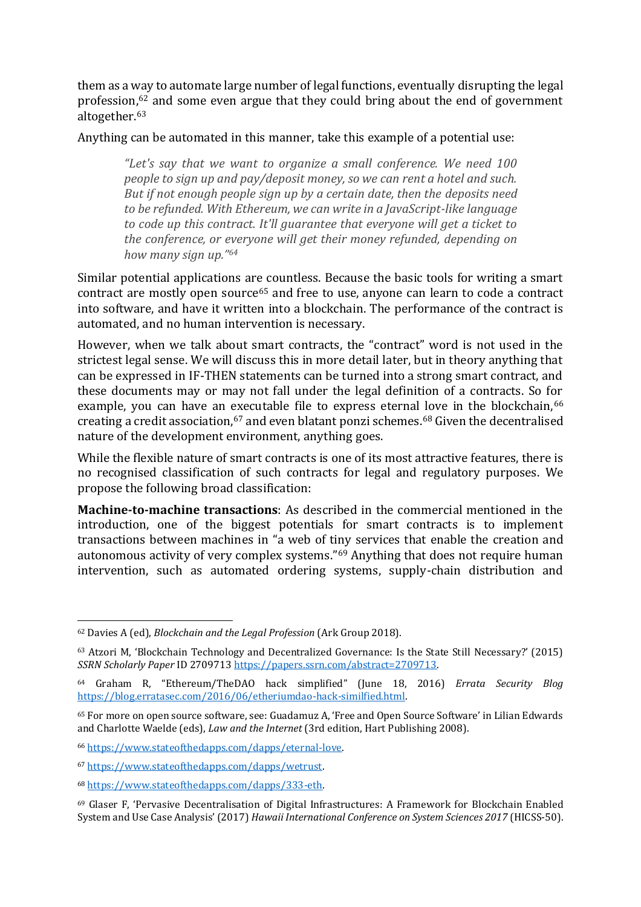them as a way to automate large number of legal functions, eventually disrupting the legal profession, <sup>62</sup> and some even argue that they could bring about the end of government altogether.<sup>63</sup>

Anything can be automated in this manner, take this example of a potential use:

<span id="page-11-1"></span><span id="page-11-0"></span>*"Let's say that we want to organize a small conference. We need 100 people to sign up and pay/deposit money, so we can rent a hotel and such. But if not enough people sign up by a certain date, then the deposits need to be refunded. With Ethereum, we can write in a JavaScript-like language to code up this contract. It'll guarantee that everyone will get a ticket to the conference, or everyone will get their money refunded, depending on how many sign up."<sup>64</sup>*

Similar potential applications are countless. Because the basic tools for writing a smart contract are mostly open source<sup>65</sup> and free to use, anyone can learn to code a contract into software, and have it written into a blockchain. The performance of the contract is automated, and no human intervention is necessary.

However, when we talk about smart contracts, the "contract" word is not used in the strictest legal sense. We will discuss this in more detail later, but in theory anything that can be expressed in IF-THEN statements can be turned into a strong smart contract, and these documents may or may not fall under the legal definition of a contracts. So for example, you can have an executable file to express eternal love in the blockchain,<sup>66</sup> creating a credit association,<sup>67</sup> and even blatant ponzi schemes.<sup>68</sup> Given the decentralised nature of the development environment, anything goes.

While the flexible nature of smart contracts is one of its most attractive features, there is no recognised classification of such contracts for legal and regulatory purposes. We propose the following broad classification:

**Machine-to-machine transactions**: As described in the commercial mentioned in the introduction, one of the biggest potentials for smart contracts is to implement transactions between machines in "a web of tiny services that enable the creation and autonomous activity of very complex systems."<sup>69</sup> Anything that does not require human intervention, such as automated ordering systems, supply-chain distribution and

<sup>62</sup> Davies A (ed), *Blockchain and the Legal Profession* (Ark Group 2018).

<sup>63</sup> Atzori M, 'Blockchain Technology and Decentralized Governance: Is the State Still Necessary?' (2015) *SSRN Scholarly Paper* ID 270971[3 https://papers.ssrn.com/abstract=2709713.](https://papers.ssrn.com/abstract=2709713)

<sup>64</sup> Graham R, "Ethereum/TheDAO hack simplified" (June 18, 2016) *Errata Security Blog* [https://blog.erratasec.com/2016/06/etheriumdao-hack-similfied.html.](https://blog.erratasec.com/2016/06/etheriumdao-hack-similfied.html)

<sup>65</sup> For more on open source software, see: Guadamuz A, 'Free and Open Source Software' in Lilian Edwards and Charlotte Waelde (eds), *Law and the Internet* (3rd edition, Hart Publishing 2008).

<sup>66</sup> [https://www.stateofthedapps.com/dapps/eternal-love.](https://www.stateofthedapps.com/dapps/eternal-love) 

<sup>67</sup> [https://www.stateofthedapps.com/dapps/wetrust.](https://www.stateofthedapps.com/dapps/wetrust)

<sup>68</sup> [https://www.stateofthedapps.com/dapps/333-eth.](https://www.stateofthedapps.com/dapps/333-eth) 

<sup>69</sup> Glaser F, 'Pervasive Decentralisation of Digital Infrastructures: A Framework for Blockchain Enabled System and Use Case Analysis' (2017) *Hawaii International Conference on System Sciences 2017* (HICSS-50).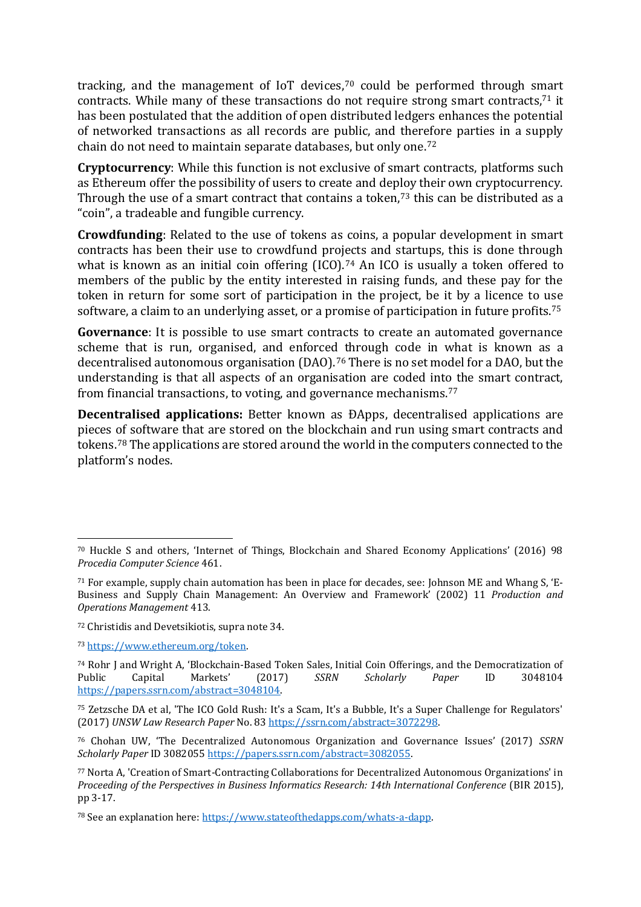tracking, and the management of IoT devices,<sup>70</sup> could be performed through smart contracts. While many of these transactions do not require strong smart contracts,<sup>71</sup> it has been postulated that the addition of open distributed ledgers enhances the potential of networked transactions as all records are public, and therefore parties in a supply chain do not need to maintain separate databases, but only one.<sup>72</sup>

**Cryptocurrency**: While this function is not exclusive of smart contracts, platforms such as Ethereum offer the possibility of users to create and deploy their own cryptocurrency. Through the use of a smart contract that contains a token, $73$  this can be distributed as a "coin", a tradeable and fungible currency.

**Crowdfunding**: Related to the use of tokens as coins, a popular development in smart contracts has been their use to crowdfund projects and startups, this is done through what is known as an initial coin offering (ICO).<sup>74</sup> An ICO is usually a token offered to members of the public by the entity interested in raising funds, and these pay for the token in return for some sort of participation in the project, be it by a licence to use software, a claim to an underlying asset, or a promise of participation in future profits.<sup>75</sup>

**Governance**: It is possible to use smart contracts to create an automated governance scheme that is run, organised, and enforced through code in what is known as a decentralised autonomous organisation (DAO).<sup>76</sup> There is no set model for a DAO, but the understanding is that all aspects of an organisation are coded into the smart contract, from financial transactions, to voting, and governance mechanisms.<sup>77</sup>

**Decentralised applications:** Better known as ÐApps, decentralised applications are pieces of software that are stored on the blockchain and run using smart contracts and tokens.<sup>78</sup> The applications are stored around the world in the computers connected to the platform's nodes.

<sup>70</sup> Huckle S and others, 'Internet of Things, Blockchain and Shared Economy Applications' (2016) 98 *Procedia Computer Science* 461.

<sup>71</sup> For example, supply chain automation has been in place for decades, see: Johnson ME and Whang S, 'E-Business and Supply Chain Management: An Overview and Framework' (2002) 11 *Production and Operations Management* 413.

<sup>72</sup> Christidis and Devetsikiotis, supra note [34.](#page-6-0) 

<sup>73</sup> [https://www.ethereum.org/token.](https://www.ethereum.org/token) 

<sup>74</sup> Rohr J and Wright A, 'Blockchain-Based Token Sales, Initial Coin Offerings, and the Democratization of Public Capital Markets' (2017) *SSRN Scholarly Paper* ID 3048104 [https://papers.ssrn.com/abstract=3048104.](https://papers.ssrn.com/abstract=3048104) 

<sup>75</sup> Zetzsche DA et al, 'The ICO Gold Rush: It's a Scam, It's a Bubble, It's a Super Challenge for Regulators' (2017) *UNSW Law Research Paper* No. 8[3 https://ssrn.com/abstract=3072298.](https://ssrn.com/abstract=3072298) 

<sup>76</sup> Chohan UW, 'The Decentralized Autonomous Organization and Governance Issues' (2017) *SSRN Scholarly Paper* ID 3082055 [https://papers.ssrn.com/abstract=3082055.](https://papers.ssrn.com/abstract=3082055) 

<sup>77</sup> Norta A, 'Creation of Smart-Contracting Collaborations for Decentralized Autonomous Organizations' in *Proceeding of the Perspectives in Business Informatics Research: 14th International Conference* (BIR 2015), pp 3-17.

<sup>78</sup> See an explanation here: [https://www.stateofthedapps.com/whats-a-dapp.](https://www.stateofthedapps.com/whats-a-dapp)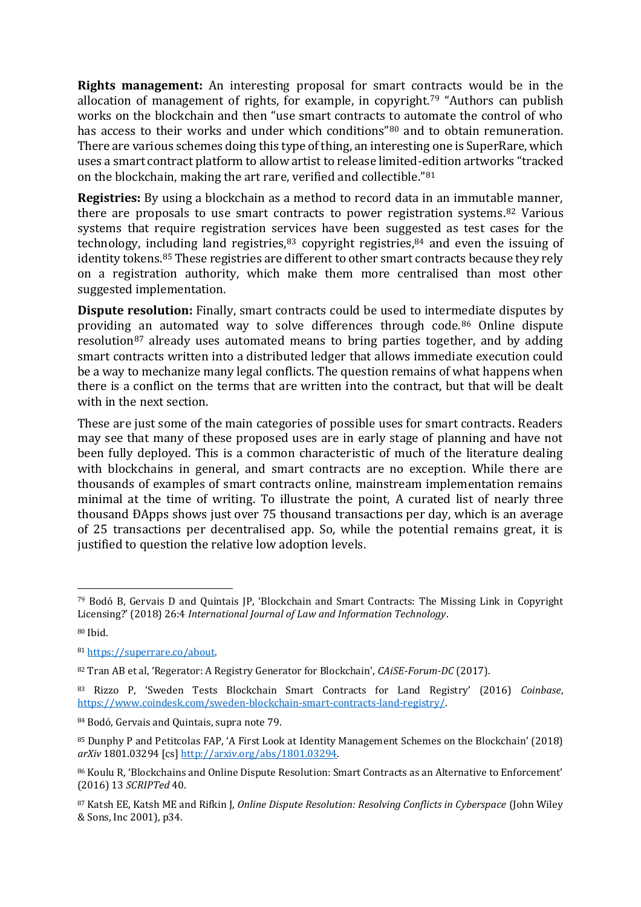<span id="page-13-0"></span>**Rights management:** An interesting proposal for smart contracts would be in the allocation of management of rights, for example, in copyright.<sup>79</sup> "Authors can publish works on the blockchain and then "use smart contracts to automate the control of who has access to their works and under which conditions<sup>"80</sup> and to obtain remuneration. There are various schemes doing this type of thing, an interesting one is SuperRare, which uses a smart contract platform to allow artist to release limited-edition artworks "tracked on the blockchain, making the art rare, verified and collectible."<sup>81</sup>

**Registries:** By using a blockchain as a method to record data in an immutable manner, there are proposals to use smart contracts to power registration systems. <sup>82</sup> Various systems that require registration services have been suggested as test cases for the technology, including land registries,  $83$  copyright registries,  $84$  and even the issuing of identity tokens. <sup>85</sup> These registries are different to other smart contracts because they rely on a registration authority, which make them more centralised than most other suggested implementation.

**Dispute resolution:** Finally, smart contracts could be used to intermediate disputes by providing an automated way to solve differences through code.<sup>86</sup> Online dispute resolution<sup>87</sup> already uses automated means to bring parties together, and by adding smart contracts written into a distributed ledger that allows immediate execution could be a way to mechanize many legal conflicts. The question remains of what happens when there is a conflict on the terms that are written into the contract, but that will be dealt with in the next section.

These are just some of the main categories of possible uses for smart contracts. Readers may see that many of these proposed uses are in early stage of planning and have not been fully deployed. This is a common characteristic of much of the literature dealing with blockchains in general, and smart contracts are no exception. While there are thousands of examples of smart contracts online, mainstream implementation remains minimal at the time of writing. To illustrate the point, A curated list of nearly three thousand ÐApps shows just over 75 thousand transactions per day, which is an average of 25 transactions per decentralised app. So, while the potential remains great, it is justified to question the relative low adoption levels.

<sup>79</sup> Bodó B, Gervais D and Quintais JP, 'Blockchain and Smart Contracts: The Missing Link in Copyright Licensing?' (2018) 26:4 *International Journal of Law and Information Technology*.

<sup>80</sup> Ibid.

<sup>81</sup> [https://superrare.co/about.](https://superrare.co/about) 

<sup>82</sup> Tran AB et al, 'Regerator: A Registry Generator for Blockchain', *CAiSE-Forum-DC* (2017).

<sup>83</sup> Rizzo P, 'Sweden Tests Blockchain Smart Contracts for Land Registry' (2016) *Coinbase*, [https://www.coindesk.com/sweden-blockchain-smart-contracts-land-registry/.](https://www.coindesk.com/sweden-blockchain-smart-contracts-land-registry/)

<sup>84</sup> Bodó, Gervais and Quintais, supra not[e 79.](#page-13-0) 

<sup>85</sup> Dunphy P and Petitcolas FAP, 'A First Look at Identity Management Schemes on the Blockchain' (2018) *arXiv* 1801.03294 [cs[\] http://arxiv.org/abs/1801.03294.](http://arxiv.org/abs/1801.03294)

<sup>86</sup> Koulu R, 'Blockchains and Online Dispute Resolution: Smart Contracts as an Alternative to Enforcement' (2016) 13 *SCRIPTed* 40.

<sup>87</sup> Katsh EE, Katsh ME and Rifkin J, *Online Dispute Resolution: Resolving Conflicts in Cyberspace* (John Wiley & Sons, Inc 2001), p34.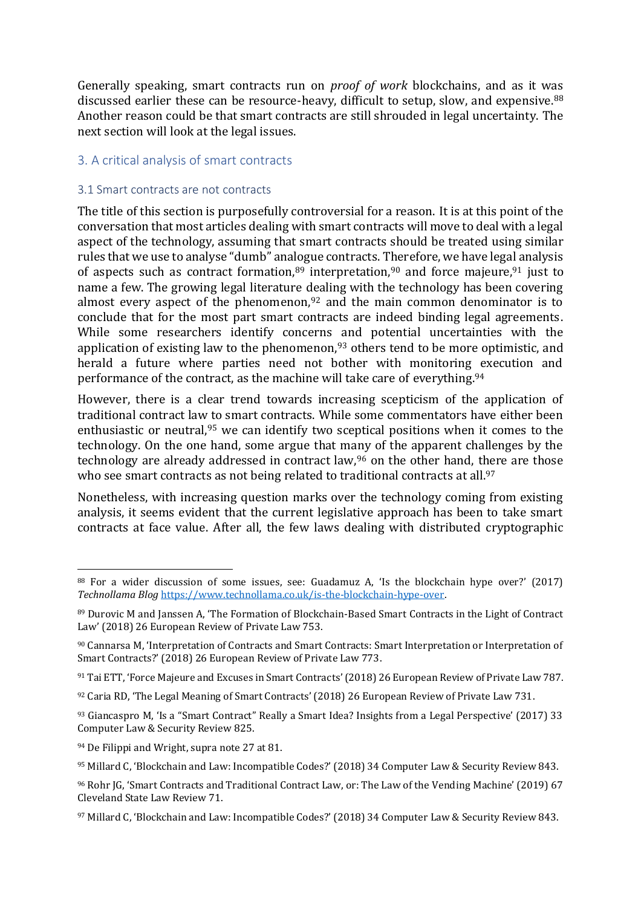Generally speaking, smart contracts run on *proof of work* blockchains, and as it was discussed earlier these can be resource-heavy, difficult to setup, slow, and expensive.<sup>88</sup> Another reason could be that smart contracts are still shrouded in legal uncertainty. The next section will look at the legal issues.

#### 3. A critical analysis of smart contracts

#### 3.1 Smart contracts are not contracts

The title of this section is purposefully controversial for a reason. It is at this point of the conversation that most articles dealing with smart contracts will move to deal with a legal aspect of the technology, assuming that smart contracts should be treated using similar rules that we use to analyse "dumb" analogue contracts. Therefore, we have legal analysis of aspects such as contract formation,  $89$  interpretation,  $90$  and force majeure,  $91$  just to name a few. The growing legal literature dealing with the technology has been covering almost every aspect of the phenomenon, $92$  and the main common denominator is to conclude that for the most part smart contracts are indeed binding legal agreements. While some researchers identify concerns and potential uncertainties with the application of existing law to the phenomenon,  $93$  others tend to be more optimistic, and herald a future where parties need not bother with monitoring execution and performance of the contract, as the machine will take care of everything.<sup>94</sup>

<span id="page-14-0"></span>However, there is a clear trend towards increasing scepticism of the application of traditional contract law to smart contracts. While some commentators have either been enthusiastic or neutral,<sup>95</sup> we can identify two sceptical positions when it comes to the technology. On the one hand, some argue that many of the apparent challenges by the technology are already addressed in contract law,<sup>96</sup> on the other hand, there are those who see smart contracts as not being related to traditional contracts at all.<sup>97</sup>

Nonetheless, with increasing question marks over the technology coming from existing analysis, it seems evident that the current legislative approach has been to take smart contracts at face value. After all, the few laws dealing with distributed cryptographic

<sup>88</sup> For a wider discussion of some issues, see: Guadamuz A, 'Is the blockchain hype over?' (2017) *Technollama Blog* [https://www.technollama.co.uk/is-the-blockchain-hype-over.](https://www.technollama.co.uk/is-the-blockchain-hype-over) 

<sup>89</sup> Durovic M and Janssen A, 'The Formation of Blockchain-Based Smart Contracts in the Light of Contract Law' (2018) 26 European Review of Private Law 753.

<sup>90</sup> Cannarsa M, 'Interpretation of Contracts and Smart Contracts: Smart Interpretation or Interpretation of Smart Contracts?' (2018) 26 European Review of Private Law 773.

<sup>91</sup> Tai ETT, 'Force Majeure and Excuses in Smart Contracts' (2018) 26 European Review of Private Law 787.

<sup>92</sup> Caria RD, 'The Legal Meaning of Smart Contracts' (2018) 26 European Review of Private Law 731.

<sup>93</sup> Giancaspro M, 'Is a "Smart Contract" Really a Smart Idea? Insights from a Legal Perspective' (2017) 33 Computer Law & Security Review 825.

<sup>94</sup> De Filippi and Wright, supra note [27](#page-5-1) at 81.

<sup>95</sup> Millard C, 'Blockchain and Law: Incompatible Codes?' (2018) 34 Computer Law & Security Review 843.

<sup>96</sup> Rohr JG, 'Smart Contracts and Traditional Contract Law, or: The Law of the Vending Machine' (2019) 67 Cleveland State Law Review 71.

<sup>97</sup> Millard C, 'Blockchain and Law: Incompatible Codes?' (2018) 34 Computer Law & Security Review 843.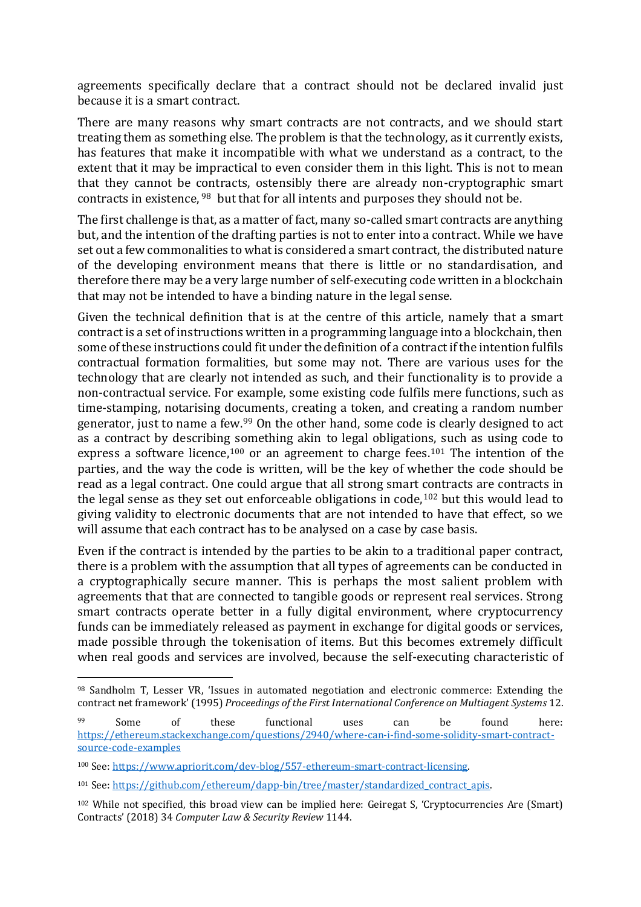agreements specifically declare that a contract should not be declared invalid just because it is a smart contract.

There are many reasons why smart contracts are not contracts, and we should start treating them as something else. The problem is that the technology, as it currently exists, has features that make it incompatible with what we understand as a contract, to the extent that it may be impractical to even consider them in this light. This is not to mean that they cannot be contracts, ostensibly there are already non-cryptographic smart contracts in existence, <sup>98</sup> but that for all intents and purposes they should not be.

The first challenge is that, as a matter of fact, many so-called smart contracts are anything but, and the intention of the drafting parties is not to enter into a contract. While we have set out a few commonalities to what is considered a smart contract, the distributed nature of the developing environment means that there is little or no standardisation, and therefore there may be a very large number of self-executing code written in a blockchain that may not be intended to have a binding nature in the legal sense.

Given the technical definition that is at the centre of this article, namely that a smart contract is a set of instructions written in a programming language into a blockchain, then some of these instructions could fit under the definition of a contract if the intention fulfils contractual formation formalities, but some may not. There are various uses for the technology that are clearly not intended as such, and their functionality is to provide a non-contractual service. For example, some existing code fulfils mere functions, such as time-stamping, notarising documents, creating a token, and creating a random number generator, just to name a few.<sup>99</sup> On the other hand, some code is clearly designed to act as a contract by describing something akin to legal obligations, such as using code to express a software licence,  $100$  or an agreement to charge fees.  $101$  The intention of the parties, and the way the code is written, will be the key of whether the code should be read as a legal contract. One could argue that all strong smart contracts are contracts in the legal sense as they set out enforceable obligations in code,<sup>102</sup> but this would lead to giving validity to electronic documents that are not intended to have that effect, so we will assume that each contract has to be analysed on a case by case basis.

Even if the contract is intended by the parties to be akin to a traditional paper contract, there is a problem with the assumption that all types of agreements can be conducted in a cryptographically secure manner. This is perhaps the most salient problem with agreements that that are connected to tangible goods or represent real services. Strong smart contracts operate better in a fully digital environment, where cryptocurrency funds can be immediately released as payment in exchange for digital goods or services, made possible through the tokenisation of items. But this becomes extremely difficult when real goods and services are involved, because the self-executing characteristic of

<sup>98</sup> Sandholm T, Lesser VR, 'Issues in automated negotiation and electronic commerce: Extending the contract net framework' (1995) *Proceedings of the First International Conference on Multiagent Systems* 12.

<sup>99</sup> Some of these functional uses can be found here: [https://ethereum.stackexchange.com/questions/2940/where-can-i-find-some-solidity-smart-contract](https://ethereum.stackexchange.com/questions/2940/where-can-i-find-some-solidity-smart-contract-source-code-examples)[source-code-examples](https://ethereum.stackexchange.com/questions/2940/where-can-i-find-some-solidity-smart-contract-source-code-examples)

<sup>100</sup> See[: https://www.apriorit.com/dev-blog/557-ethereum-smart-contract-licensing.](https://www.apriorit.com/dev-blog/557-ethereum-smart-contract-licensing) 

<sup>101</sup> See[: https://github.com/ethereum/dapp-bin/tree/master/standardized\\_contract\\_apis.](https://github.com/ethereum/dapp-bin/tree/master/standardized_contract_apis)

<sup>102</sup> While not specified, this broad view can be implied here: Geiregat S, 'Cryptocurrencies Are (Smart) Contracts' (2018) 34 *Computer Law & Security Review* 1144.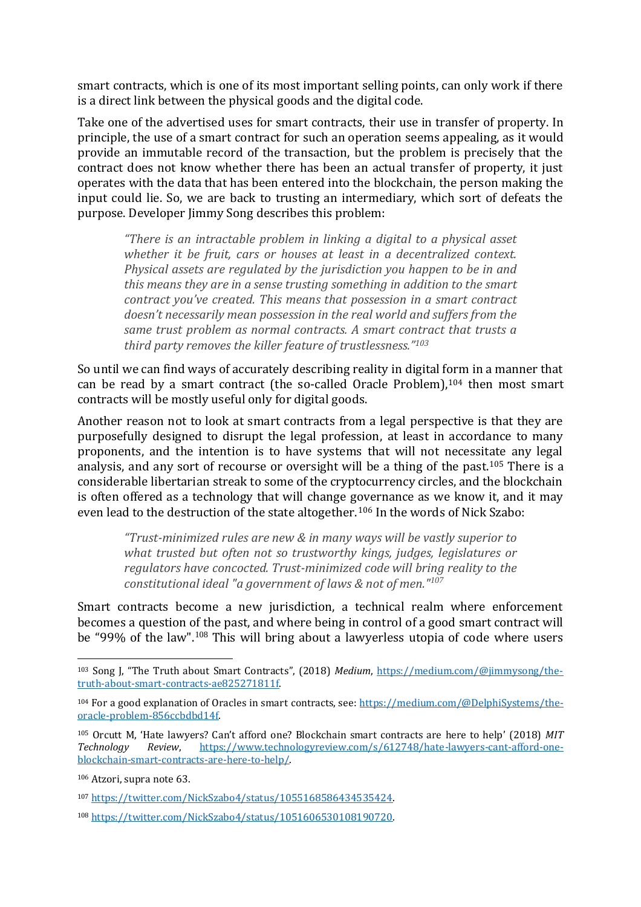smart contracts, which is one of its most important selling points, can only work if there is a direct link between the physical goods and the digital code.

Take one of the advertised uses for smart contracts, their use in transfer of property. In principle, the use of a smart contract for such an operation seems appealing, as it would provide an immutable record of the transaction, but the problem is precisely that the contract does not know whether there has been an actual transfer of property, it just operates with the data that has been entered into the blockchain, the person making the input could lie. So, we are back to trusting an intermediary, which sort of defeats the purpose. Developer Jimmy Song describes this problem:

*"There is an intractable problem in linking a digital to a physical asset whether it be fruit, cars or houses at least in a decentralized context. Physical assets are regulated by the jurisdiction you happen to be in and this means they are in a sense trusting something in addition to the smart contract you've created. This means that possession in a smart contract doesn't necessarily mean possession in the real world and suffers from the same trust problem as normal contracts. A smart contract that trusts a third party removes the killer feature of trustlessness."<sup>103</sup>*

So until we can find ways of accurately describing reality in digital form in a manner that can be read by a smart contract (the so-called Oracle Problem),<sup>104</sup> then most smart contracts will be mostly useful only for digital goods.

Another reason not to look at smart contracts from a legal perspective is that they are purposefully designed to disrupt the legal profession, at least in accordance to many proponents, and the intention is to have systems that will not necessitate any legal analysis, and any sort of recourse or oversight will be a thing of the past.<sup>105</sup> There is a considerable libertarian streak to some of the cryptocurrency circles, and the blockchain is often offered as a technology that will change governance as we know it, and it may even lead to the destruction of the state altogether.<sup>106</sup> In the words of Nick Szabo:

*"Trust-minimized rules are new & in many ways will be vastly superior to what trusted but often not so trustworthy kings, judges, legislatures or regulators have concocted. Trust-minimized code will bring reality to the constitutional ideal "a government of laws & not of men."<sup>107</sup>*

Smart contracts become a new jurisdiction, a technical realm where enforcement becomes a question of the past, and where being in control of a good smart contract will be "99% of the law".<sup>108</sup> This will bring about a lawyerless utopia of code where users

 $\overline{a}$ 

<sup>108</sup> [https://twitter.com/NickSzabo4/status/1051606530108190720.](https://twitter.com/NickSzabo4/status/1051606530108190720) 

<sup>103</sup> Song J, "The Truth about Smart Contracts", (2018) *Medium*, [https://medium.com/@jimmysong/the](https://medium.com/@jimmysong/the-truth-about-smart-contracts-ae825271811f)[truth-about-smart-contracts-ae825271811f.](https://medium.com/@jimmysong/the-truth-about-smart-contracts-ae825271811f)

<sup>104</sup> For a good explanation of Oracles in smart contracts, see: [https://medium.com/@DelphiSystems/the](https://medium.com/@DelphiSystems/the-oracle-problem-856ccbdbd14f)[oracle-problem-856ccbdbd14f.](https://medium.com/@DelphiSystems/the-oracle-problem-856ccbdbd14f)

<sup>105</sup> Orcutt M, 'Hate lawyers? Can't afford one? Blockchain smart contracts are here to help' (2018) *MIT Technology Review*, [https://www.technologyreview.com/s/612748/hate-lawyers-cant-afford-one](https://www.technologyreview.com/s/612748/hate-lawyers-cant-afford-one-blockchain-smart-contracts-are-here-to-help/)[blockchain-smart-contracts-are-here-to-help/.](https://www.technologyreview.com/s/612748/hate-lawyers-cant-afford-one-blockchain-smart-contracts-are-here-to-help/) 

<sup>106</sup> Atzori, supra not[e 63.](#page-11-0) 

<sup>107</sup> [https://twitter.com/NickSzabo4/status/1055168586434535424.](https://twitter.com/NickSzabo4/status/1055168586434535424)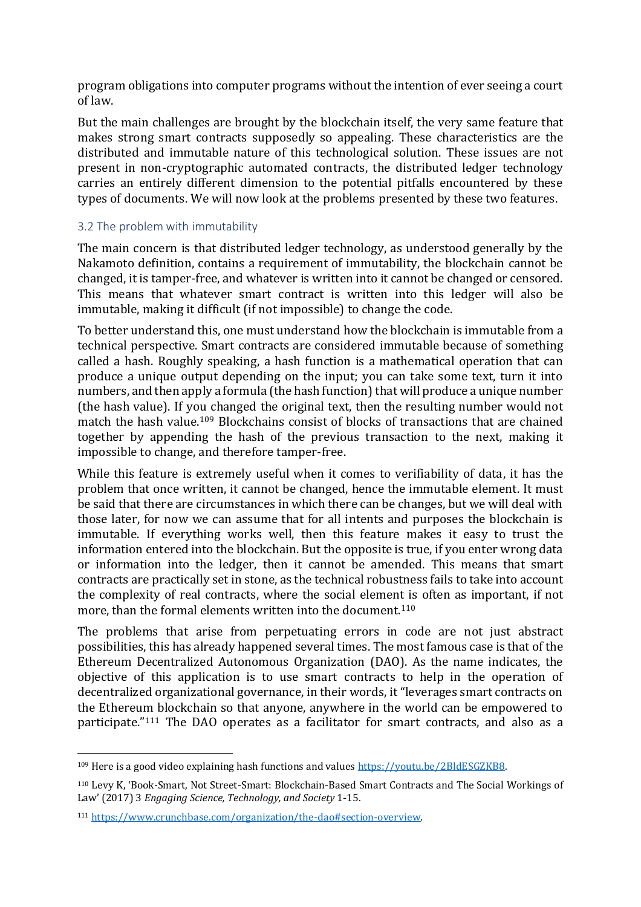program obligations into computer programs without the intention of ever seeing a court of law.

But the main challenges are brought by the blockchain itself, the very same feature that makes strong smart contracts supposedly so appealing. These characteristics are the distributed and immutable nature of this technological solution. These issues are not present in non-cryptographic automated contracts, the distributed ledger technology carries an entirely different dimension to the potential pitfalls encountered by these types of documents. We will now look at the problems presented by these two features.

#### 3.2 The problem with immutability

The main concern is that distributed ledger technology, as understood generally by the Nakamoto definition, contains a requirement of immutability, the blockchain cannot be changed, it is tamper-free, and whatever is written into it cannot be changed or censored. This means that whatever smart contract is written into this ledger will also be immutable, making it difficult (if not impossible) to change the code.

To better understand this, one must understand how the blockchain is immutable from a technical perspective. Smart contracts are considered immutable because of something called a hash. Roughly speaking, a hash function is a mathematical operation that can produce a unique output depending on the input; you can take some text, turn it into numbers, and then apply a formula (the hash function) that will produce a unique number (the hash value). If you changed the original text, then the resulting number would not match the hash value. <sup>109</sup> Blockchains consist of blocks of transactions that are chained together by appending the hash of the previous transaction to the next, making it impossible to change, and therefore tamper-free.

While this feature is extremely useful when it comes to verifiability of data, it has the problem that once written, it cannot be changed, hence the immutable element. It must be said that there are circumstances in which there can be changes, but we will deal with those later, for now we can assume that for all intents and purposes the blockchain is immutable. If everything works well, then this feature makes it easy to trust the information entered into the blockchain. But the opposite is true, if you enter wrong data or information into the ledger, then it cannot be amended. This means that smart contracts are practically set in stone, as the technical robustness fails to take into account the complexity of real contracts, where the social element is often as important, if not more, than the formal elements written into the document.<sup>110</sup>

The problems that arise from perpetuating errors in code are not just abstract possibilities, this has already happened several times. The most famous case is that of the Ethereum Decentralized Autonomous Organization (DAO). As the name indicates, the objective of this application is to use smart contracts to help in the operation of decentralized organizational governance, in their words, it "leverages smart contracts on the Ethereum blockchain so that anyone, anywhere in the world can be empowered to participate."<sup>111</sup> The DAO operates as a facilitator for smart contracts, and also as a

<sup>109</sup> Here is a good video explaining hash functions and values [https://youtu.be/2BldESGZKB8.](https://youtu.be/2BldESGZKB8) 

<sup>110</sup> Levy K, 'Book-Smart, Not Street-Smart: Blockchain-Based Smart Contracts and The Social Workings of Law' (2017) 3 *Engaging Science, Technology, and Society* 1-15.

<sup>111</sup> [https://www.crunchbase.com/organization/the-dao#section-overview.](https://www.crunchbase.com/organization/the-dao#section-overview)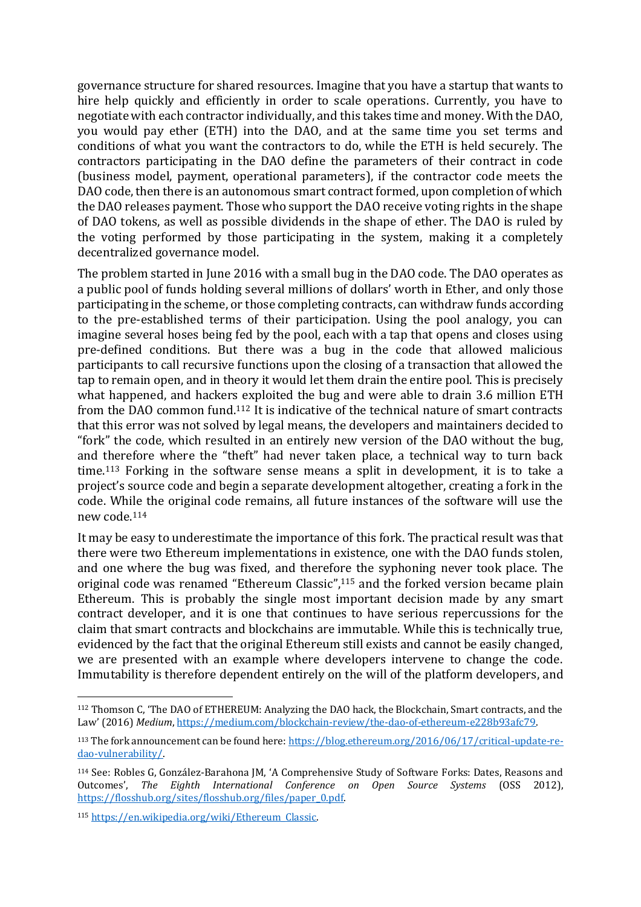governance structure for shared resources. Imagine that you have a startup that wants to hire help quickly and efficiently in order to scale operations. Currently, you have to negotiate with each contractor individually, and this takes time and money. With the DAO, you would pay ether (ETH) into the DAO, and at the same time you set terms and conditions of what you want the contractors to do, while the ETH is held securely. The contractors participating in the DAO define the parameters of their contract in code (business model, payment, operational parameters), if the contractor code meets the DAO code, then there is an autonomous smart contract formed, upon completion of which the DAO releases payment. Those who support the DAO receive voting rights in the shape of DAO tokens, as well as possible dividends in the shape of ether. The DAO is ruled by the voting performed by those participating in the system, making it a completely decentralized governance model.

The problem started in June 2016 with a small bug in the DAO code. The DAO operates as a public pool of funds holding several millions of dollars' worth in Ether, and only those participating in the scheme, or those completing contracts, can withdraw funds according to the pre-established terms of their participation. Using the pool analogy, you can imagine several hoses being fed by the pool, each with a tap that opens and closes using pre-defined conditions. But there was a bug in the code that allowed malicious participants to call recursive functions upon the closing of a transaction that allowed the tap to remain open, and in theory it would let them drain the entire pool. This is precisely what happened, and hackers exploited the bug and were able to drain 3.6 million ETH from the DAO common fund.<sup>112</sup> It is indicative of the technical nature of smart contracts that this error was not solved by legal means, the developers and maintainers decided to "fork" the code, which resulted in an entirely new version of the DAO without the bug, and therefore where the "theft" had never taken place, a technical way to turn back time.<sup>113</sup> Forking in the software sense means a split in development, it is to take a project's source code and begin a separate development altogether, creating a fork in the code. While the original code remains, all future instances of the software will use the new code.<sup>114</sup>

It may be easy to underestimate the importance of this fork. The practical result was that there were two Ethereum implementations in existence, one with the DAO funds stolen, and one where the bug was fixed, and therefore the syphoning never took place. The original code was renamed "Ethereum Classic", <sup>115</sup> and the forked version became plain Ethereum. This is probably the single most important decision made by any smart contract developer, and it is one that continues to have serious repercussions for the claim that smart contracts and blockchains are immutable. While this is technically true, evidenced by the fact that the original Ethereum still exists and cannot be easily changed, we are presented with an example where developers intervene to change the code. Immutability is therefore dependent entirely on the will of the platform developers, and

<sup>112</sup> Thomson C, 'The DAO of ETHEREUM: Analyzing the DAO hack, the Blockchain, Smart contracts, and the Law' (2016) Medium[, https://medium.com/blockchain-review/the-dao-of-ethereum-e228b93afc79.](https://medium.com/blockchain-review/the-dao-of-ethereum-e228b93afc79)

<sup>113</sup> The fork announcement can be found here: [https://blog.ethereum.org/2016/06/17/critical-update-re](https://blog.ethereum.org/2016/06/17/critical-update-re-dao-vulnerability/)[dao-vulnerability/.](https://blog.ethereum.org/2016/06/17/critical-update-re-dao-vulnerability/)

<sup>114</sup> See: Robles G, González-Barahona JM, 'A Comprehensive Study of Software Forks: Dates, Reasons and Outcomes', *The Eighth International Conference on Open Source Systems* (OSS 2012), [https://flosshub.org/sites/flosshub.org/files/paper\\_0.pdf.](https://flosshub.org/sites/flosshub.org/files/paper_0.pdf)

<sup>115</sup> [https://en.wikipedia.org/wiki/Ethereum\\_Classic.](https://en.wikipedia.org/wiki/Ethereum_Classic)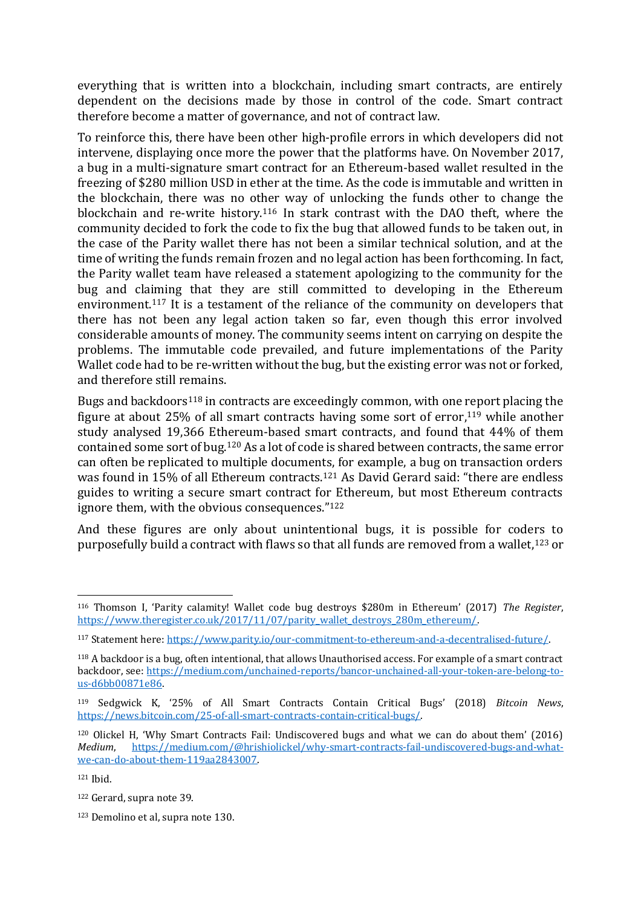everything that is written into a blockchain, including smart contracts, are entirely dependent on the decisions made by those in control of the code. Smart contract therefore become a matter of governance, and not of contract law.

To reinforce this, there have been other high-profile errors in which developers did not intervene, displaying once more the power that the platforms have. On November 2017, a bug in a multi-signature smart contract for an Ethereum-based wallet resulted in the freezing of \$280 million USD in ether at the time. As the code is immutable and written in the blockchain, there was no other way of unlocking the funds other to change the blockchain and re-write history.<sup>116</sup> In stark contrast with the DAO theft, where the community decided to fork the code to fix the bug that allowed funds to be taken out, in the case of the Parity wallet there has not been a similar technical solution, and at the time of writing the funds remain frozen and no legal action has been forthcoming. In fact, the Parity wallet team have released a statement apologizing to the community for the bug and claiming that they are still committed to developing in the Ethereum environment.<sup>117</sup> It is a testament of the reliance of the community on developers that there has not been any legal action taken so far, even though this error involved considerable amounts of money. The community seems intent on carrying on despite the problems. The immutable code prevailed, and future implementations of the Parity Wallet code had to be re-written without the bug, but the existing error was not or forked, and therefore still remains.

Bugs and backdoors<sup>118</sup> in contracts are exceedingly common, with one report placing the figure at about 25% of all smart contracts having some sort of error,<sup>119</sup> while another study analysed 19,366 Ethereum-based smart contracts, and found that 44% of them contained some sort of bug.<sup>120</sup> As a lot of code is shared between contracts, the same error can often be replicated to multiple documents, for example, a bug on transaction orders was found in 15% of all Ethereum contracts.<sup>121</sup> As David Gerard said: "there are endless guides to writing a secure smart contract for Ethereum, but most Ethereum contracts ignore them, with the obvious consequences."<sup>122</sup>

And these figures are only about unintentional bugs, it is possible for coders to purposefully build a contract with flaws so that all funds are removed from a wallet, <sup>123</sup> or

l

<sup>116</sup> Thomson I, 'Parity calamity! Wallet code bug destroys \$280m in Ethereum' (2017) *The Register*, [https://www.theregister.co.uk/2017/11/07/parity\\_wallet\\_destroys\\_280m\\_ethereum/.](https://www.theregister.co.uk/2017/11/07/parity_wallet_destroys_280m_ethereum/)

<sup>117</sup> Statement here: [https://www.parity.io/our-commitment-to-ethereum-and-a-decentralised-future/.](https://www.parity.io/our-commitment-to-ethereum-and-a-decentralised-future/)

<sup>118</sup> A backdoor is a bug, often intentional, that allows Unauthorised access. For example of a smart contract backdoor, see: [https://medium.com/unchained-reports/bancor-unchained-all-your-token-are-belong-to](https://medium.com/unchained-reports/bancor-unchained-all-your-token-are-belong-to-us-d6bb00871e86)[us-d6bb00871e86.](https://medium.com/unchained-reports/bancor-unchained-all-your-token-are-belong-to-us-d6bb00871e86) 

<sup>119</sup> Sedgwick K, '25% of All Smart Contracts Contain Critical Bugs' (2018) *Bitcoin News*, [https://news.bitcoin.com/25-of-all-smart-contracts-contain-critical-bugs/.](https://news.bitcoin.com/25-of-all-smart-contracts-contain-critical-bugs/)

<sup>120</sup> Olickel H, 'Why Smart Contracts Fail: Undiscovered bugs and what we can do about them' (2016) *Medium*, [https://medium.com/@hrishiolickel/why-smart-contracts-fail-undiscovered-bugs-and-what](https://medium.com/@hrishiolickel/why-smart-contracts-fail-undiscovered-bugs-and-what-we-can-do-about-them-119aa2843007)[we-can-do-about-them-119aa2843007.](https://medium.com/@hrishiolickel/why-smart-contracts-fail-undiscovered-bugs-and-what-we-can-do-about-them-119aa2843007) 

<sup>121</sup> Ibid.

<sup>122</sup> Gerard, supra note [39.](#page-7-0) 

<sup>123</sup> Demolino et al, supra note [130.](#page-21-0)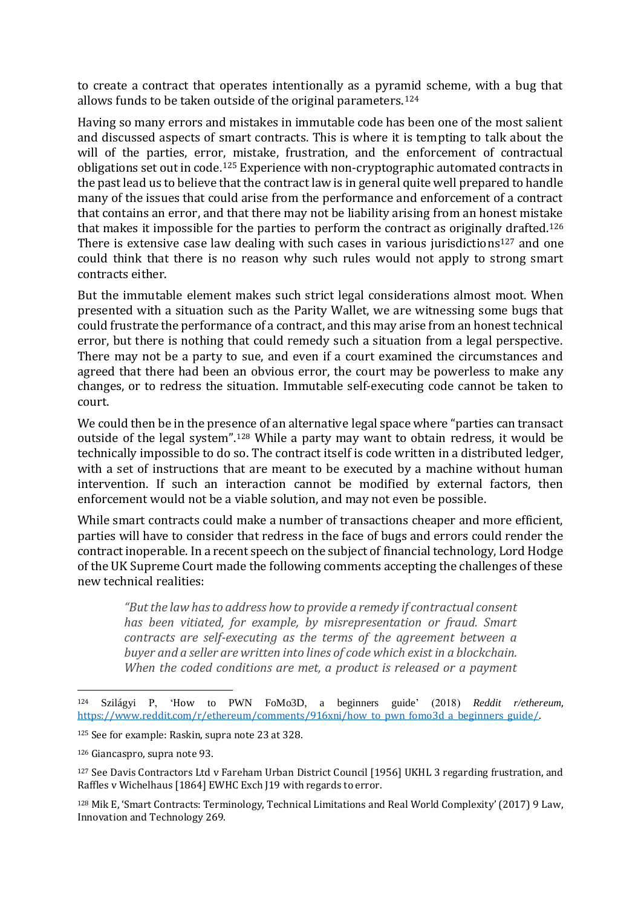to create a contract that operates intentionally as a pyramid scheme, with a bug that allows funds to be taken outside of the original parameters.<sup>124</sup>

Having so many errors and mistakes in immutable code has been one of the most salient and discussed aspects of smart contracts. This is where it is tempting to talk about the will of the parties, error, mistake, frustration, and the enforcement of contractual obligations set out in code.<sup>125</sup> Experience with non-cryptographic automated contracts in the past lead us to believe that the contract law is in general quite well prepared to handle many of the issues that could arise from the performance and enforcement of a contract that contains an error, and that there may not be liability arising from an honest mistake that makes it impossible for the parties to perform the contract as originally drafted.<sup>126</sup> There is extensive case law dealing with such cases in various jurisdictions<sup>127</sup> and one could think that there is no reason why such rules would not apply to strong smart contracts either.

But the immutable element makes such strict legal considerations almost moot. When presented with a situation such as the Parity Wallet, we are witnessing some bugs that could frustrate the performance of a contract, and this may arise from an honest technical error, but there is nothing that could remedy such a situation from a legal perspective. There may not be a party to sue, and even if a court examined the circumstances and agreed that there had been an obvious error, the court may be powerless to make any changes, or to redress the situation. Immutable self-executing code cannot be taken to court.

We could then be in the presence of an alternative legal space where "parties can transact outside of the legal system".<sup>128</sup> While a party may want to obtain redress, it would be technically impossible to do so. The contract itself is code written in a distributed ledger, with a set of instructions that are meant to be executed by a machine without human intervention. If such an interaction cannot be modified by external factors, then enforcement would not be a viable solution, and may not even be possible.

While smart contracts could make a number of transactions cheaper and more efficient, parties will have to consider that redress in the face of bugs and errors could render the contract inoperable. In a recent speech on the subject of financial technology, Lord Hodge of the UK Supreme Court made the following comments accepting the challenges of these new technical realities:

*"But the law has to address how to provide a remedy if contractual consent has been vitiated, for example, by misrepresentation or fraud. Smart contracts are self-executing as the terms of the agreement between a buyer and a seller are written into lines of code which exist in a blockchain. When the coded conditions are met, a product is released or a payment* 

<sup>124</sup> Szilágyi P, 'How to PWN FoMo3D, a beginners guide' (2018) *Reddit r/ethereum*, [https://www.reddit.com/r/ethereum/comments/916xni/how\\_to\\_pwn\\_fomo3d\\_a\\_beginners\\_guide/.](https://www.reddit.com/r/ethereum/comments/916xni/how_to_pwn_fomo3d_a_beginners_guide/)

<sup>125</sup> See for example: Raskin, supra not[e 23](#page-5-0) at 328.

<sup>126</sup> Giancaspro, supra note [93.](#page-14-0)

<sup>127</sup> See Davis Contractors Ltd v Fareham Urban District Council [1956] UKHL 3 regarding frustration, and Raffles v Wichelhaus [1864] EWHC Exch J19 with regards to error.

<sup>128</sup> Mik E, 'Smart Contracts: Terminology, Technical Limitations and Real World Complexity' (2017) 9 Law, Innovation and Technology 269.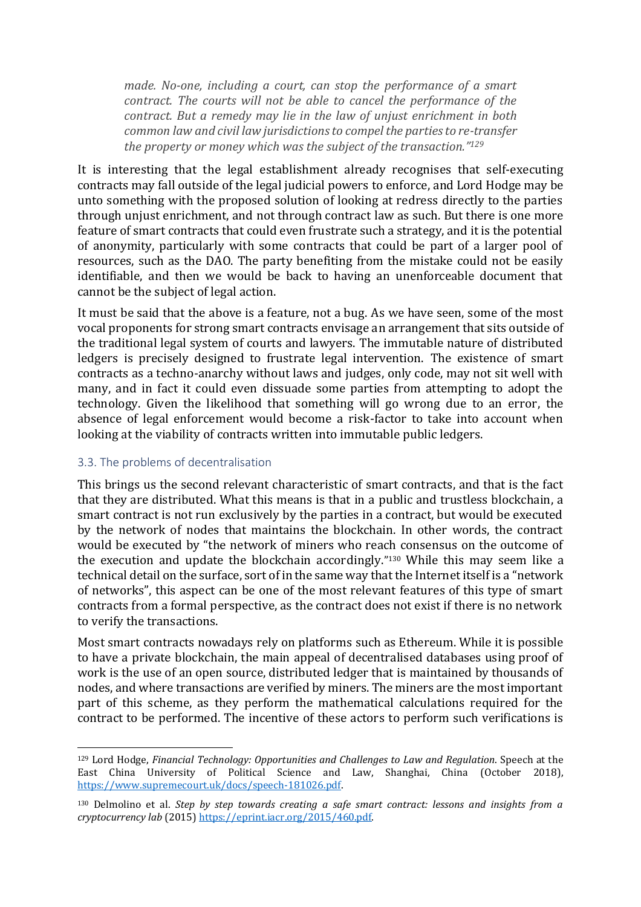*made. No-one, including a court, can stop the performance of a smart contract. The courts will not be able to cancel the performance of the contract. But a remedy may lie in the law of unjust enrichment in both common law and civil law jurisdictions to compel the parties to re-transfer the property or money which was the subject of the transaction." 129*

It is interesting that the legal establishment already recognises that self-executing contracts may fall outside of the legal judicial powers to enforce, and Lord Hodge may be unto something with the proposed solution of looking at redress directly to the parties through unjust enrichment, and not through contract law as such. But there is one more feature of smart contracts that could even frustrate such a strategy, and it is the potential of anonymity, particularly with some contracts that could be part of a larger pool of resources, such as the DAO. The party benefiting from the mistake could not be easily identifiable, and then we would be back to having an unenforceable document that cannot be the subject of legal action.

It must be said that the above is a feature, not a bug. As we have seen, some of the most vocal proponents for strong smart contracts envisage an arrangement that sits outside of the traditional legal system of courts and lawyers. The immutable nature of distributed ledgers is precisely designed to frustrate legal intervention. The existence of smart contracts as a techno-anarchy without laws and judges, only code, may not sit well with many, and in fact it could even dissuade some parties from attempting to adopt the technology. Given the likelihood that something will go wrong due to an error, the absence of legal enforcement would become a risk-factor to take into account when looking at the viability of contracts written into immutable public ledgers.

#### 3.3. The problems of decentralisation

 $\overline{a}$ 

<span id="page-21-0"></span>This brings us the second relevant characteristic of smart contracts, and that is the fact that they are distributed. What this means is that in a public and trustless blockchain, a smart contract is not run exclusively by the parties in a contract, but would be executed by the network of nodes that maintains the blockchain. In other words, the contract would be executed by "the network of miners who reach consensus on the outcome of the execution and update the blockchain accordingly." <sup>130</sup> While this may seem like a technical detail on the surface, sort of in the same way that the Internet itself is a "network of networks", this aspect can be one of the most relevant features of this type of smart contracts from a formal perspective, as the contract does not exist if there is no network to verify the transactions.

Most smart contracts nowadays rely on platforms such as Ethereum. While it is possible to have a private blockchain, the main appeal of decentralised databases using proof of work is the use of an open source, distributed ledger that is maintained by thousands of nodes, and where transactions are verified by miners. The miners are the most important part of this scheme, as they perform the mathematical calculations required for the contract to be performed. The incentive of these actors to perform such verifications is

<sup>129</sup> Lord Hodge, *Financial Technology: Opportunities and Challenges to Law and Regulation*. Speech at the East China University of Political Science and Law, Shanghai, China (October 2018), [https://www.supremecourt.uk/docs/speech-181026.pdf.](https://www.supremecourt.uk/docs/speech-181026.pdf) 

<sup>130</sup> Delmolino et al. *Step by step towards creating a safe smart contract: lessons and insights from a cryptocurrency lab* (2015) [https://eprint.iacr.org/2015/460.pdf.](https://eprint.iacr.org/2015/460.pdf)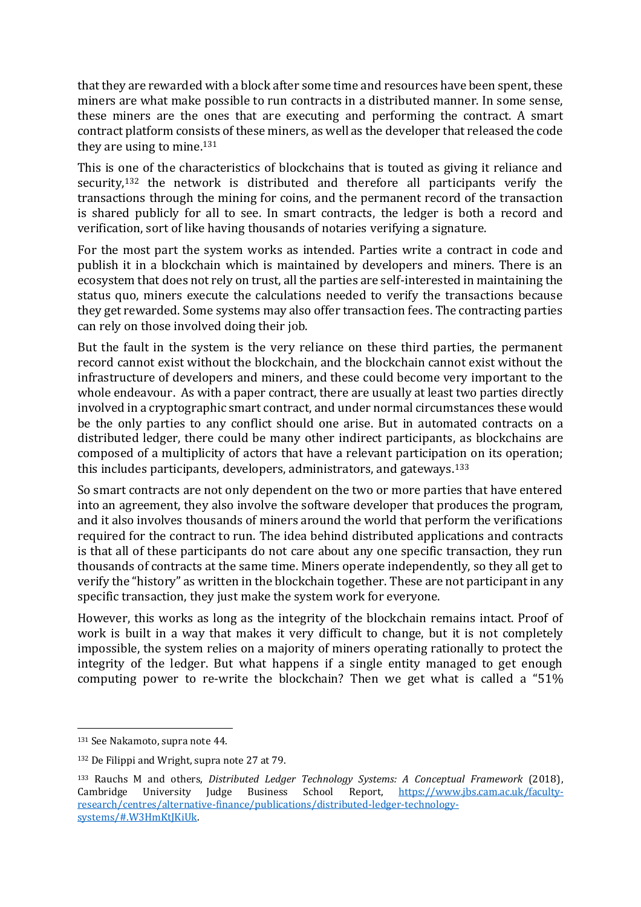that they are rewarded with a block after some time and resources have been spent, these miners are what make possible to run contracts in a distributed manner. In some sense, these miners are the ones that are executing and performing the contract. A smart contract platform consists of these miners, as well as the developer that released the code they are using to mine.<sup>131</sup>

This is one of the characteristics of blockchains that is touted as giving it reliance and security,<sup>132</sup> the network is distributed and therefore all participants verify the transactions through the mining for coins, and the permanent record of the transaction is shared publicly for all to see. In smart contracts, the ledger is both a record and verification, sort of like having thousands of notaries verifying a signature.

For the most part the system works as intended. Parties write a contract in code and publish it in a blockchain which is maintained by developers and miners. There is an ecosystem that does not rely on trust, all the parties are self-interested in maintaining the status quo, miners execute the calculations needed to verify the transactions because they get rewarded. Some systems may also offer transaction fees. The contracting parties can rely on those involved doing their iob.

But the fault in the system is the very reliance on these third parties, the permanent record cannot exist without the blockchain, and the blockchain cannot exist without the infrastructure of developers and miners, and these could become very important to the whole endeavour. As with a paper contract, there are usually at least two parties directly involved in a cryptographic smart contract, and under normal circumstances these would be the only parties to any conflict should one arise. But in automated contracts on a distributed ledger, there could be many other indirect participants, as blockchains are composed of a multiplicity of actors that have a relevant participation on its operation; this includes participants, developers, administrators, and gateways.<sup>133</sup>

So smart contracts are not only dependent on the two or more parties that have entered into an agreement, they also involve the software developer that produces the program, and it also involves thousands of miners around the world that perform the verifications required for the contract to run. The idea behind distributed applications and contracts is that all of these participants do not care about any one specific transaction, they run thousands of contracts at the same time. Miners operate independently, so they all get to verify the "history" as written in the blockchain together. These are not participant in any specific transaction, they just make the system work for everyone.

However, this works as long as the integrity of the blockchain remains intact. Proof of work is built in a way that makes it very difficult to change, but it is not completely impossible, the system relies on a majority of miners operating rationally to protect the integrity of the ledger. But what happens if a single entity managed to get enough computing power to re-write the blockchain? Then we get what is called a "51%

<sup>131</sup> See Nakamoto, supra note [44.](#page-7-1) 

<sup>132</sup> De Filippi and Wright, supra note [27](#page-5-1) at 79.

<sup>133</sup> Rauchs M and others, *Distributed Ledger Technology Systems: A Conceptual Framework* (2018), Cambridge University Judge Business School Report, [https://www.jbs.cam.ac.uk/faculty](https://www.jbs.cam.ac.uk/faculty-research/centres/alternative-finance/publications/distributed-ledger-technology-systems/#.W3HmKtJKiUk)[research/centres/alternative-finance/publications/distributed-ledger-technology](https://www.jbs.cam.ac.uk/faculty-research/centres/alternative-finance/publications/distributed-ledger-technology-systems/#.W3HmKtJKiUk)systems/#.W3HmKtIKiUk.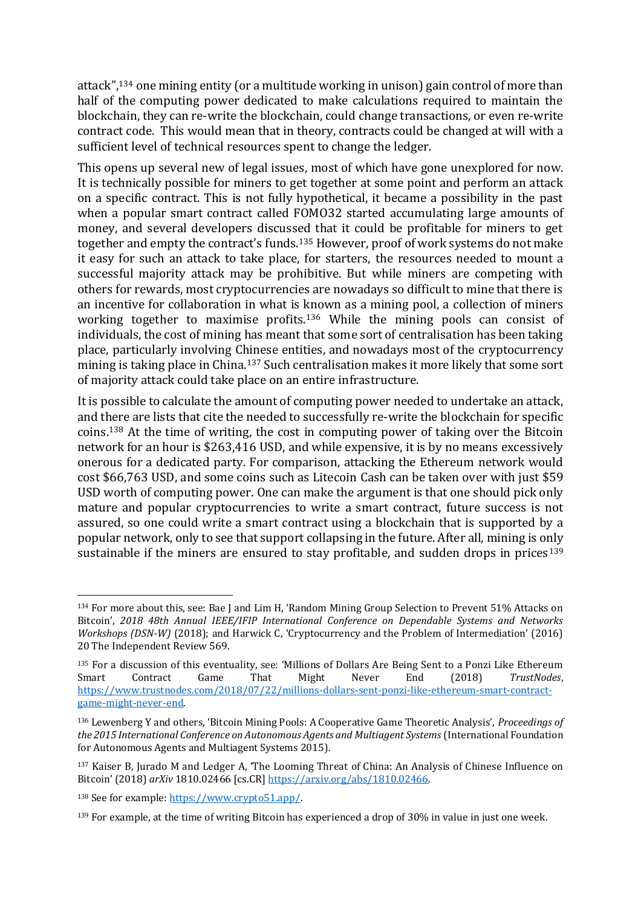attack", <sup>134</sup> one mining entity (or a multitude working in unison) gain control of more than half of the computing power dedicated to make calculations required to maintain the blockchain, they can re-write the blockchain, could change transactions, or even re-write contract code. This would mean that in theory, contracts could be changed at will with a sufficient level of technical resources spent to change the ledger.

This opens up several new of legal issues, most of which have gone unexplored for now. It is technically possible for miners to get together at some point and perform an attack on a specific contract. This is not fully hypothetical, it became a possibility in the past when a popular smart contract called FOMO32 started accumulating large amounts of money, and several developers discussed that it could be profitable for miners to get together and empty the contract's funds.<sup>135</sup> However, proof of work systems do not make it easy for such an attack to take place, for starters, the resources needed to mount a successful majority attack may be prohibitive. But while miners are competing with others for rewards, most cryptocurrencies are nowadays so difficult to mine that there is an incentive for collaboration in what is known as a mining pool, a collection of miners working together to maximise profits.<sup>136</sup> While the mining pools can consist of individuals, the cost of mining has meant that some sort of centralisation has been taking place, particularly involving Chinese entities, and nowadays most of the cryptocurrency mining is taking place in China.<sup>137</sup> Such centralisation makes it more likely that some sort of majority attack could take place on an entire infrastructure.

It is possible to calculate the amount of computing power needed to undertake an attack, and there are lists that cite the needed to successfully re-write the blockchain for specific coins. <sup>138</sup> At the time of writing, the cost in computing power of taking over the Bitcoin network for an hour is \$263,416 USD, and while expensive, it is by no means excessively onerous for a dedicated party. For comparison, attacking the Ethereum network would cost \$66,763 USD, and some coins such as Litecoin Cash can be taken over with just \$59 USD worth of computing power. One can make the argument is that one should pick only mature and popular cryptocurrencies to write a smart contract, future success is not assured, so one could write a smart contract using a blockchain that is supported by a popular network, only to see that support collapsing in the future. After all, mining is only sustainable if the miners are ensured to stay profitable, and sudden drops in prices<sup>139</sup>

<sup>134</sup> For more about this, see: Bae J and Lim H, 'Random Mining Group Selection to Prevent 51% Attacks on Bitcoin', *2018 48th Annual IEEE/IFIP International Conference on Dependable Systems and Networks Workshops (DSN-W)* (2018); and Harwick C, 'Cryptocurrency and the Problem of Intermediation' (2016) 20 The Independent Review 569.

<sup>135</sup> For a discussion of this eventuality, see: 'Millions of Dollars Are Being Sent to a Ponzi Like Ethereum Smart Contract Game That Might Never End (2018) *TrustNodes*, [https://www.trustnodes.com/2018/07/22/millions-dollars-sent-ponzi-like-ethereum-smart-contract](https://www.trustnodes.com/2018/07/22/millions-dollars-sent-ponzi-like-ethereum-smart-contract-game-might-never-end)[game-might-never-end.](https://www.trustnodes.com/2018/07/22/millions-dollars-sent-ponzi-like-ethereum-smart-contract-game-might-never-end) 

<sup>136</sup> Lewenberg Y and others, 'Bitcoin Mining Pools: A Cooperative Game Theoretic Analysis', *Proceedings of the 2015 International Conference on Autonomous Agents and Multiagent Systems* (International Foundation for Autonomous Agents and Multiagent Systems 2015).

<sup>137</sup> Kaiser B, Jurado M and Ledger A, 'The Looming Threat of China: An Analysis of Chinese Influence on Bitcoin' (2018) *arXiv* 1810.02466 [cs.CR] [https://arxiv.org/abs/1810.02466.](https://arxiv.org/abs/1810.02466)

<sup>138</sup> See for example[: https://www.crypto51.app/.](https://www.crypto51.app/)

 $139$  For example, at the time of writing Bitcoin has experienced a drop of 30% in value in just one week.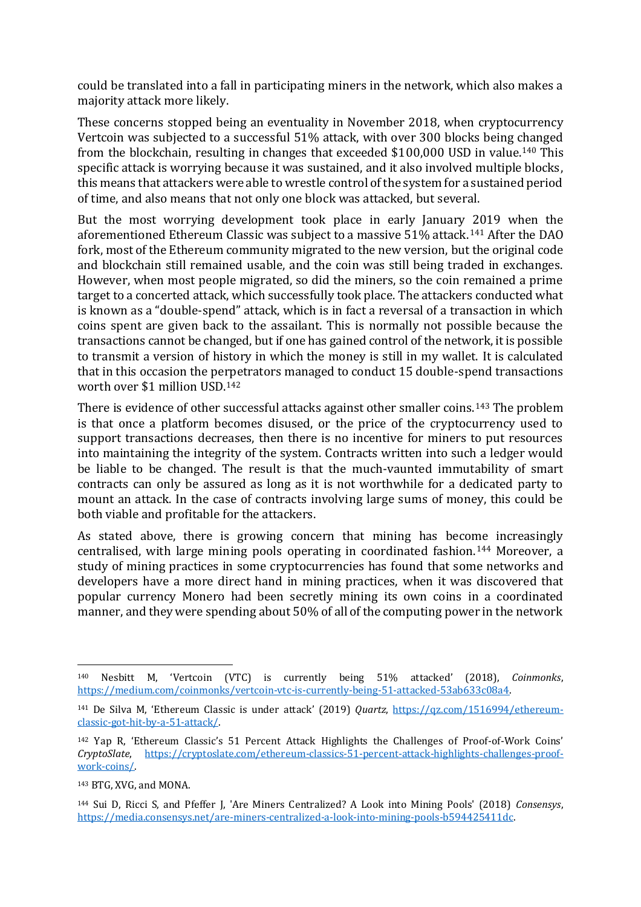could be translated into a fall in participating miners in the network, which also makes a majority attack more likely.

These concerns stopped being an eventuality in November 2018, when cryptocurrency Vertcoin was subjected to a successful 51% attack, with over 300 blocks being changed from the blockchain, resulting in changes that exceeded \$100,000 USD in value.<sup>140</sup> This specific attack is worrying because it was sustained, and it also involved multiple blocks, this means that attackers were able to wrestle control of the system for a sustained period of time, and also means that not only one block was attacked, but several.

But the most worrying development took place in early January 2019 when the aforementioned Ethereum Classic was subject to a massive 51% attack.<sup>141</sup> After the DAO fork, most of the Ethereum community migrated to the new version, but the original code and blockchain still remained usable, and the coin was still being traded in exchanges. However, when most people migrated, so did the miners, so the coin remained a prime target to a concerted attack, which successfully took place. The attackers conducted what is known as a "double-spend" attack, which is in fact a reversal of a transaction in which coins spent are given back to the assailant. This is normally not possible because the transactions cannot be changed, but if one has gained control of the network, it is possible to transmit a version of history in which the money is still in my wallet. It is calculated that in this occasion the perpetrators managed to conduct 15 double-spend transactions worth over \$1 million USD.<sup>142</sup>

There is evidence of other successful attacks against other smaller coins.<sup>143</sup> The problem is that once a platform becomes disused, or the price of the cryptocurrency used to support transactions decreases, then there is no incentive for miners to put resources into maintaining the integrity of the system. Contracts written into such a ledger would be liable to be changed. The result is that the much-vaunted immutability of smart contracts can only be assured as long as it is not worthwhile for a dedicated party to mount an attack. In the case of contracts involving large sums of money, this could be both viable and profitable for the attackers.

As stated above, there is growing concern that mining has become increasingly centralised, with large mining pools operating in coordinated fashion.<sup>144</sup> Moreover, a study of mining practices in some cryptocurrencies has found that some networks and developers have a more direct hand in mining practices, when it was discovered that popular currency Monero had been secretly mining its own coins in a coordinated manner, and they were spending about 50% of all of the computing power in the network

<sup>143</sup> BTG, XVG, and MONA.

 $\overline{a}$ 

<sup>144</sup> Sui D, Ricci S, and Pfeffer J, 'Are Miners Centralized? A Look into Mining Pools' (2018) *Consensys*, [https://media.consensys.net/are-miners-centralized-a-look-into-mining-pools-b594425411dc.](https://media.consensys.net/are-miners-centralized-a-look-into-mining-pools-b594425411dc) 

<sup>140</sup> Nesbitt M, 'Vertcoin (VTC) is currently being 51% attacked' (2018), *Coinmonks*, [https://medium.com/coinmonks/vertcoin-vtc-is-currently-being-51-attacked-53ab633c08a4.](https://medium.com/coinmonks/vertcoin-vtc-is-currently-being-51-attacked-53ab633c08a4) 

<sup>141</sup> De Silva M, 'Ethereum Classic is under attack' (2019) *Quartz*, [https://qz.com/1516994/ethereum](https://qz.com/1516994/ethereum-classic-got-hit-by-a-51-attack/)[classic-got-hit-by-a-51-attack/.](https://qz.com/1516994/ethereum-classic-got-hit-by-a-51-attack/) 

<sup>142</sup> Yap R, 'Ethereum Classic's 51 Percent Attack Highlights the Challenges of Proof-of-Work Coins' *CryptoSlate*, [https://cryptoslate.com/ethereum-classics-51-percent-attack-highlights-challenges-proof](https://cryptoslate.com/ethereum-classics-51-percent-attack-highlights-challenges-proof-work-coins/)[work-coins/.](https://cryptoslate.com/ethereum-classics-51-percent-attack-highlights-challenges-proof-work-coins/)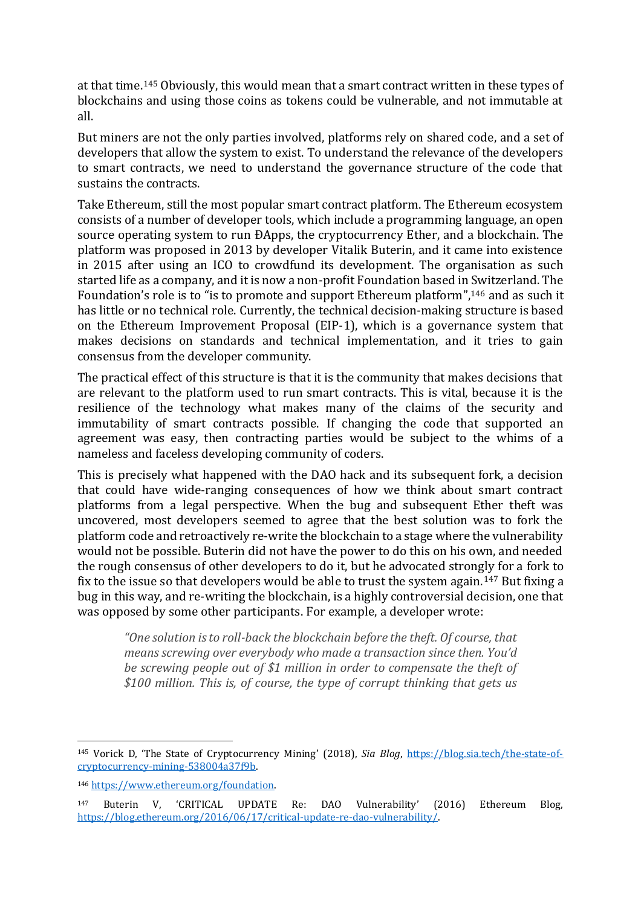at that time.<sup>145</sup> Obviously, this would mean that a smart contract written in these types of blockchains and using those coins as tokens could be vulnerable, and not immutable at all.

But miners are not the only parties involved, platforms rely on shared code, and a set of developers that allow the system to exist. To understand the relevance of the developers to smart contracts, we need to understand the governance structure of the code that sustains the contracts.

Take Ethereum, still the most popular smart contract platform. The Ethereum ecosystem consists of a number of developer tools, which include a programming language, an open source operating system to run ÐApps, the cryptocurrency Ether, and a blockchain. The platform was proposed in 2013 by developer Vitalik Buterin, and it came into existence in 2015 after using an ICO to crowdfund its development. The organisation as such started life as a company, and it is now a non-profit Foundation based in Switzerland. The Foundation's role is to "is to promote and support Ethereum platform",<sup>146</sup> and as such it has little or no technical role. Currently, the technical decision-making structure is based on the Ethereum Improvement Proposal (EIP-1), which is a governance system that makes decisions on standards and technical implementation, and it tries to gain consensus from the developer community.

The practical effect of this structure is that it is the community that makes decisions that are relevant to the platform used to run smart contracts. This is vital, because it is the resilience of the technology what makes many of the claims of the security and immutability of smart contracts possible. If changing the code that supported an agreement was easy, then contracting parties would be subject to the whims of a nameless and faceless developing community of coders.

This is precisely what happened with the DAO hack and its subsequent fork, a decision that could have wide-ranging consequences of how we think about smart contract platforms from a legal perspective. When the bug and subsequent Ether theft was uncovered, most developers seemed to agree that the best solution was to fork the platform code and retroactively re-write the blockchain to a stage where the vulnerability would not be possible. Buterin did not have the power to do this on his own, and needed the rough consensus of other developers to do it, but he advocated strongly for a fork to fix to the issue so that developers would be able to trust the system again.<sup>147</sup> But fixing a bug in this way, and re-writing the blockchain, is a highly controversial decision, one that was opposed by some other participants. For example, a developer wrote:

*"One solution is to roll-back the blockchain before the theft. Of course, that means screwing over everybody who made a transaction since then. You'd be screwing people out of \$1 million in order to compensate the theft of \$100 million. This is, of course, the type of corrupt thinking that gets us* 

<sup>145</sup> Vorick D, 'The State of Cryptocurrency Mining' (2018), *Sia Blog*, [https://blog.sia.tech/the-state-of](https://blog.sia.tech/the-state-of-cryptocurrency-mining-538004a37f9b)[cryptocurrency-mining-538004a37f9b.](https://blog.sia.tech/the-state-of-cryptocurrency-mining-538004a37f9b) 

<sup>146</sup> [https://www.ethereum.org/foundation.](https://www.ethereum.org/foundation) 

<sup>147</sup> Buterin V, 'CRITICAL UPDATE Re: DAO Vulnerability' (2016) Ethereum Blog, [https://blog.ethereum.org/2016/06/17/critical-update-re-dao-vulnerability/.](https://blog.ethereum.org/2016/06/17/critical-update-re-dao-vulnerability/)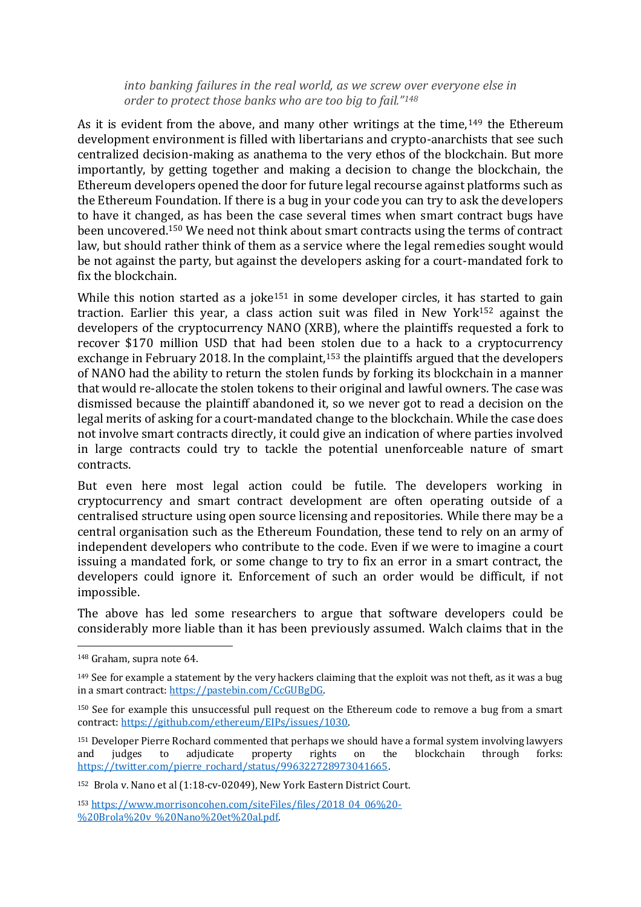*into banking failures in the real world, as we screw over everyone else in order to protect those banks who are too big to fail."<sup>148</sup>*

As it is evident from the above, and many other writings at the time,<sup>149</sup> the Ethereum development environment is filled with libertarians and crypto-anarchists that see such centralized decision-making as anathema to the very ethos of the blockchain. But more importantly, by getting together and making a decision to change the blockchain, the Ethereum developers opened the door for future legal recourse against platforms such as the Ethereum Foundation. If there is a bug in your code you can try to ask the developers to have it changed, as has been the case several times when smart contract bugs have been uncovered.<sup>150</sup> We need not think about smart contracts using the terms of contract law, but should rather think of them as a service where the legal remedies sought would be not against the party, but against the developers asking for a court-mandated fork to fix the blockchain.

While this notion started as a joke<sup>151</sup> in some developer circles, it has started to gain traction. Earlier this year, a class action suit was filed in New York<sup>152</sup> against the developers of the cryptocurrency NANO (XRB), where the plaintiffs requested a fork to recover \$170 million USD that had been stolen due to a hack to a cryptocurrency exchange in February 2018. In the complaint,<sup>153</sup> the plaintiffs argued that the developers of NANO had the ability to return the stolen funds by forking its blockchain in a manner that would re-allocate the stolen tokens to their original and lawful owners. The case was dismissed because the plaintiff abandoned it, so we never got to read a decision on the legal merits of asking for a court-mandated change to the blockchain. While the case does not involve smart contracts directly, it could give an indication of where parties involved in large contracts could try to tackle the potential unenforceable nature of smart contracts.

But even here most legal action could be futile. The developers working in cryptocurrency and smart contract development are often operating outside of a centralised structure using open source licensing and repositories. While there may be a central organisation such as the Ethereum Foundation, these tend to rely on an army of independent developers who contribute to the code. Even if we were to imagine a court issuing a mandated fork, or some change to try to fix an error in a smart contract, the developers could ignore it. Enforcement of such an order would be difficult, if not impossible.

The above has led some researchers to argue that software developers could be considerably more liable than it has been previously assumed. Walch claims that in the

l

<sup>148</sup> Graham, supra note [64.](#page-11-1)

<sup>149</sup> See for example a statement by the very hackers claiming that the exploit was not theft, as it was a bug in a smart contract[: https://pastebin.com/CcGUBgDG.](https://pastebin.com/CcGUBgDG)

<sup>150</sup> See for example this unsuccessful pull request on the Ethereum code to remove a bug from a smart contract[: https://github.com/ethereum/EIPs/issues/1030.](https://github.com/ethereum/EIPs/issues/1030)

<sup>151</sup> Developer Pierre Rochard commented that perhaps we should have a formal system involving lawyers and judges to adjudicate property rights on the blockchain through forks: https://twitter.com/pierre\_rochard/status/996322728973041665.

<sup>152</sup> Brola v. Nano et al (1:18-cv-02049), New York Eastern District Court.

<sup>153</sup> [https://www.morrisoncohen.com/siteFiles/files/2018\\_04\\_06%20-](https://www.morrisoncohen.com/siteFiles/files/2018_04_06%20-%20Brola%20v_%20Nano%20et%20al.pdf) [%20Brola%20v\\_%20Nano%20et%20al.pdf.](https://www.morrisoncohen.com/siteFiles/files/2018_04_06%20-%20Brola%20v_%20Nano%20et%20al.pdf)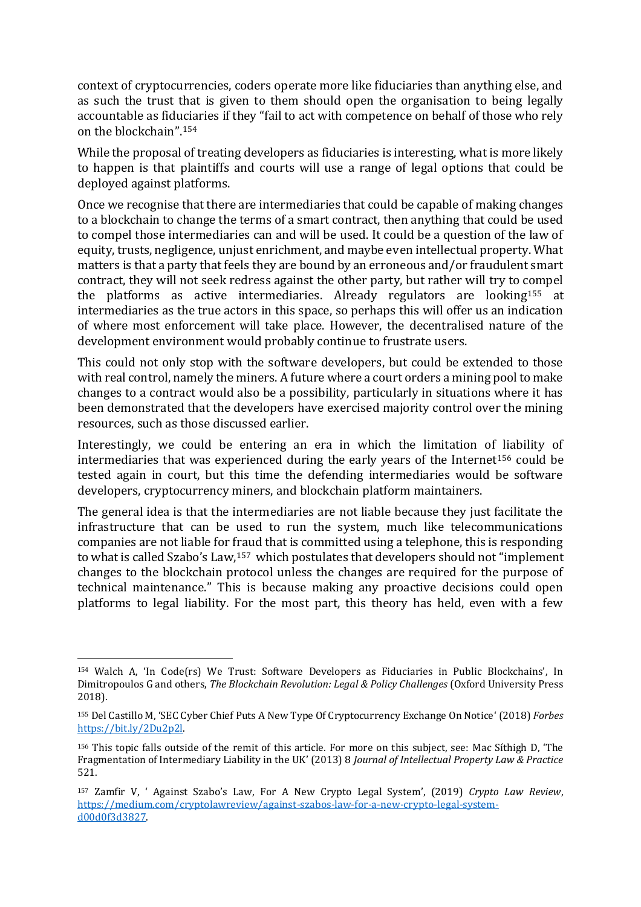context of cryptocurrencies, coders operate more like fiduciaries than anything else, and as such the trust that is given to them should open the organisation to being legally accountable as fiduciaries if they "fail to act with competence on behalf of those who rely on the blockchain".<sup>154</sup>

While the proposal of treating developers as fiduciaries is interesting, what is more likely to happen is that plaintiffs and courts will use a range of legal options that could be deployed against platforms.

Once we recognise that there are intermediaries that could be capable of making changes to a blockchain to change the terms of a smart contract, then anything that could be used to compel those intermediaries can and will be used. It could be a question of the law of equity, trusts, negligence, unjust enrichment, and maybe even intellectual property. What matters is that a party that feels they are bound by an erroneous and/or fraudulent smart contract, they will not seek redress against the other party, but rather will try to compel the platforms as active intermediaries. Already regulators are looking<sup>155</sup> at intermediaries as the true actors in this space, so perhaps this will offer us an indication of where most enforcement will take place. However, the decentralised nature of the development environment would probably continue to frustrate users.

This could not only stop with the software developers, but could be extended to those with real control, namely the miners. A future where a court orders a mining pool to make changes to a contract would also be a possibility, particularly in situations where it has been demonstrated that the developers have exercised majority control over the mining resources, such as those discussed earlier.

Interestingly, we could be entering an era in which the limitation of liability of intermediaries that was experienced during the early years of the Internet<sup>156</sup> could be tested again in court, but this time the defending intermediaries would be software developers, cryptocurrency miners, and blockchain platform maintainers.

The general idea is that the intermediaries are not liable because they just facilitate the infrastructure that can be used to run the system, much like telecommunications companies are not liable for fraud that is committed using a telephone, this is responding to what is called Szabo's Law,<sup>157</sup> which postulates that developers should not "implement changes to the blockchain protocol unless the changes are required for the purpose of technical maintenance." This is because making any proactive decisions could open platforms to legal liability. For the most part, this theory has held, even with a few

<sup>154</sup> Walch A, 'In Code(rs) We Trust: Software Developers as Fiduciaries in Public Blockchains', In Dimitropoulos G and others, *The Blockchain Revolution: Legal & Policy Challenges* (Oxford University Press 2018).

<sup>155</sup> Del Castillo M, 'SEC Cyber Chief Puts A New Type Of Cryptocurrency Exchange On Notice' (2018) *Forbes* [https://bit.ly/2Du2p2l.](https://bit.ly/2Du2p2l)

<sup>156</sup> This topic falls outside of the remit of this article. For more on this subject, see: Mac Síthigh D, 'The Fragmentation of Intermediary Liability in the UK' (2013) 8 *Journal of Intellectual Property Law & Practice* 521.

<sup>157</sup> Zamfir V, ' Against Szabo's Law, For A New Crypto Legal System', (2019) *Crypto Law Review*, [https://medium.com/cryptolawreview/against-szabos-law-for-a-new-crypto-legal-system](https://medium.com/cryptolawreview/against-szabos-law-for-a-new-crypto-legal-system-d00d0f3d3827)[d00d0f3d3827.](https://medium.com/cryptolawreview/against-szabos-law-for-a-new-crypto-legal-system-d00d0f3d3827)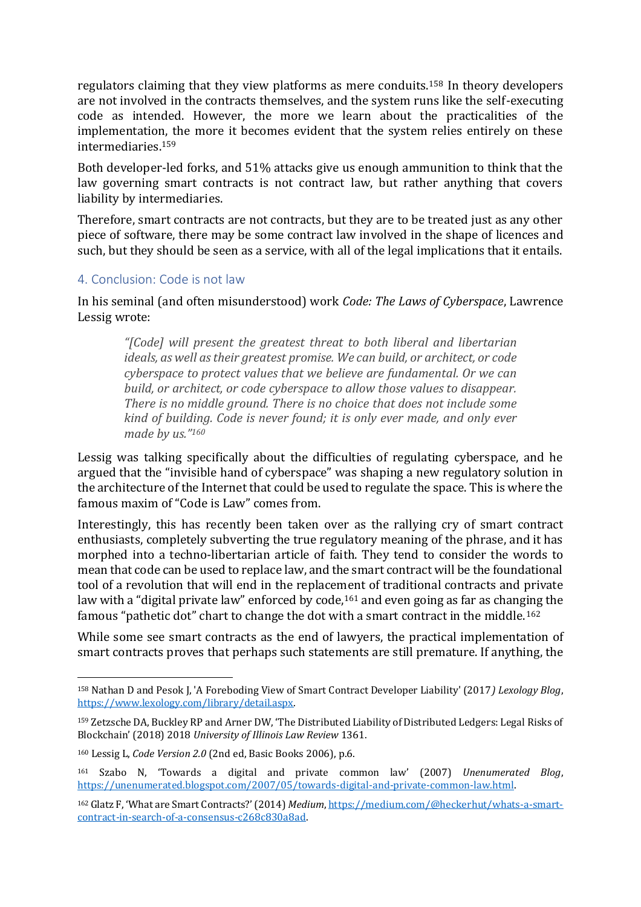regulators claiming that they view platforms as mere conduits.<sup>158</sup> In theory developers are not involved in the contracts themselves, and the system runs like the self-executing code as intended. However, the more we learn about the practicalities of the implementation, the more it becomes evident that the system relies entirely on these intermediaries.<sup>159</sup>

Both developer-led forks, and 51% attacks give us enough ammunition to think that the law governing smart contracts is not contract law, but rather anything that covers liability by intermediaries.

Therefore, smart contracts are not contracts, but they are to be treated just as any other piece of software, there may be some contract law involved in the shape of licences and such, but they should be seen as a service, with all of the legal implications that it entails.

#### 4. Conclusion: Code is not law

In his seminal (and often misunderstood) work *Code: The Laws of Cyberspace*, Lawrence Lessig wrote:

*"[Code] will present the greatest threat to both liberal and libertarian ideals, as well as their greatest promise. We can build, or architect, or code cyberspace to protect values that we believe are fundamental. Or we can build, or architect, or code cyberspace to allow those values to disappear. There is no middle ground. There is no choice that does not include some kind of building. Code is never found; it is only ever made, and only ever made by us."<sup>160</sup>*

Lessig was talking specifically about the difficulties of regulating cyberspace, and he argued that the "invisible hand of cyberspace" was shaping a new regulatory solution in the architecture of the Internet that could be used to regulate the space. This is where the famous maxim of "Code is Law" comes from.

Interestingly, this has recently been taken over as the rallying cry of smart contract enthusiasts, completely subverting the true regulatory meaning of the phrase, and it has morphed into a techno-libertarian article of faith. They tend to consider the words to mean that code can be used to replace law, and the smart contract will be the foundational tool of a revolution that will end in the replacement of traditional contracts and private law with a "digital private law" enforced by code,<sup>161</sup> and even going as far as changing the famous "pathetic dot" chart to change the dot with a smart contract in the middle.<sup>162</sup>

While some see smart contracts as the end of lawyers, the practical implementation of smart contracts proves that perhaps such statements are still premature. If anything, the

<sup>158</sup> Nathan D and Pesok J, 'A Foreboding View of Smart Contract Developer Liability' (2017*) Lexology Blog*, [https://www.lexology.com/library/detail.aspx.](https://www.lexology.com/library/detail.aspx) 

<sup>159</sup> Zetzsche DA, Buckley RP and Arner DW, 'The Distributed Liability of Distributed Ledgers: Legal Risks of Blockchain' (2018) 2018 *University of Illinois Law Review* 1361.

<sup>160</sup> Lessig L, *Code Version 2.0* (2nd ed, Basic Books 2006), p.6.

<sup>161</sup> Szabo N, 'Towards a digital and private common law' (2007) *Unenumerated Blog*, [https://unenumerated.blogspot.com/2007/05/towards-digital-and-private-common-law.html.](https://unenumerated.blogspot.com/2007/05/towards-digital-and-private-common-law.html)

<sup>162</sup> Glatz F, 'What are Smart Contracts?'(2014) *Medium*[, https://medium.com/@heckerhut/whats-a-smart](https://medium.com/@heckerhut/whats-a-smart-contract-in-search-of-a-consensus-c268c830a8ad)[contract-in-search-of-a-consensus-c268c830a8ad.](https://medium.com/@heckerhut/whats-a-smart-contract-in-search-of-a-consensus-c268c830a8ad)